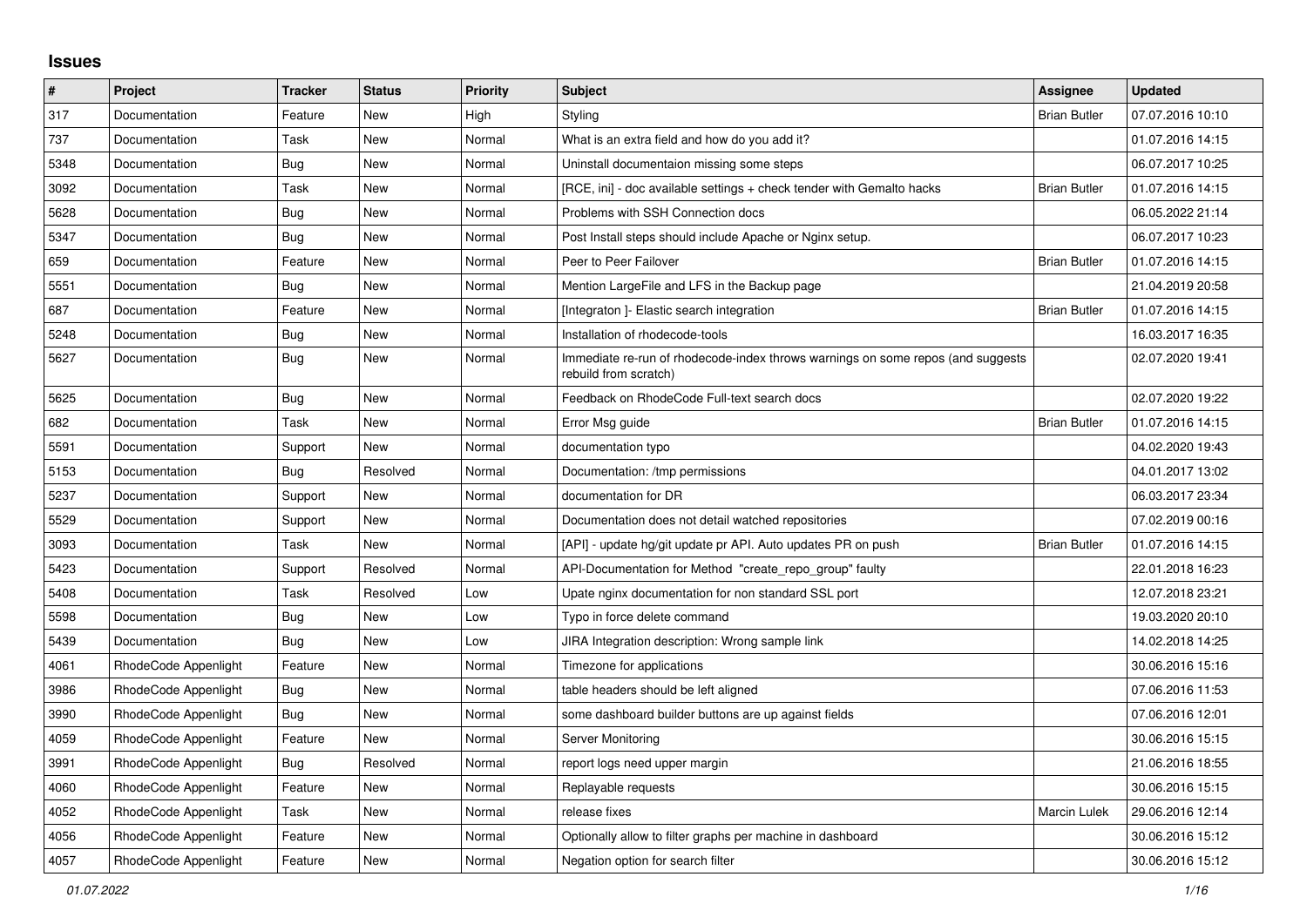## **Issues**

| $\vert$ # | Project              | <b>Tracker</b> | <b>Status</b> | <b>Priority</b> | <b>Subject</b>                                                                                           | Assignee            | <b>Updated</b>   |
|-----------|----------------------|----------------|---------------|-----------------|----------------------------------------------------------------------------------------------------------|---------------------|------------------|
| 317       | Documentation        | Feature        | <b>New</b>    | High            | Styling                                                                                                  | <b>Brian Butler</b> | 07.07.2016 10:10 |
| 737       | Documentation        | Task           | New           | Normal          | What is an extra field and how do you add it?                                                            |                     | 01.07.2016 14:15 |
| 5348      | Documentation        | Bug            | New           | Normal          | Uninstall documentaion missing some steps                                                                |                     | 06.07.2017 10:25 |
| 3092      | Documentation        | Task           | <b>New</b>    | Normal          | [RCE, ini] - doc available settings + check tender with Gemalto hacks                                    | <b>Brian Butler</b> | 01.07.2016 14:15 |
| 5628      | Documentation        | Bug            | <b>New</b>    | Normal          | Problems with SSH Connection docs                                                                        |                     | 06.05.2022 21:14 |
| 5347      | Documentation        | Bug            | <b>New</b>    | Normal          | Post Install steps should include Apache or Nginx setup.                                                 |                     | 06.07.2017 10:23 |
| 659       | Documentation        | Feature        | New           | Normal          | Peer to Peer Failover                                                                                    | <b>Brian Butler</b> | 01.07.2016 14:15 |
| 5551      | Documentation        | Bug            | New           | Normal          | Mention LargeFile and LFS in the Backup page                                                             |                     | 21.04.2019 20:58 |
| 687       | Documentation        | Feature        | New           | Normal          | [Integraton] - Elastic search integration                                                                | <b>Brian Butler</b> | 01.07.2016 14:15 |
| 5248      | Documentation        | Bug            | New           | Normal          | Installation of rhodecode-tools                                                                          |                     | 16.03.2017 16:35 |
| 5627      | Documentation        | <b>Bug</b>     | <b>New</b>    | Normal          | Immediate re-run of rhodecode-index throws warnings on some repos (and suggests<br>rebuild from scratch) |                     | 02.07.2020 19:41 |
| 5625      | Documentation        | Bug            | New           | Normal          | Feedback on RhodeCode Full-text search docs                                                              |                     | 02.07.2020 19:22 |
| 682       | Documentation        | Task           | New           | Normal          | Error Msg guide                                                                                          | <b>Brian Butler</b> | 01.07.2016 14:15 |
| 5591      | Documentation        | Support        | New           | Normal          | documentation typo                                                                                       |                     | 04.02.2020 19:43 |
| 5153      | Documentation        | Bug            | Resolved      | Normal          | Documentation: /tmp permissions                                                                          |                     | 04.01.2017 13:02 |
| 5237      | Documentation        | Support        | <b>New</b>    | Normal          | documentation for DR                                                                                     |                     | 06.03.2017 23:34 |
| 5529      | Documentation        | Support        | <b>New</b>    | Normal          | Documentation does not detail watched repositories                                                       |                     | 07.02.2019 00:16 |
| 3093      | Documentation        | Task           | <b>New</b>    | Normal          | [API] - update hg/git update pr API. Auto updates PR on push                                             | <b>Brian Butler</b> | 01.07.2016 14:15 |
| 5423      | Documentation        | Support        | Resolved      | Normal          | API-Documentation for Method "create_repo_group" faulty                                                  |                     | 22.01.2018 16:23 |
| 5408      | Documentation        | Task           | Resolved      | Low             | Upate nginx documentation for non standard SSL port                                                      |                     | 12.07.2018 23:21 |
| 5598      | Documentation        | Bug            | New           | Low             | Typo in force delete command                                                                             |                     | 19.03.2020 20:10 |
| 5439      | Documentation        | Bug            | New           | Low             | JIRA Integration description: Wrong sample link                                                          |                     | 14.02.2018 14:25 |
| 4061      | RhodeCode Appenlight | Feature        | New           | Normal          | Timezone for applications                                                                                |                     | 30.06.2016 15:16 |
| 3986      | RhodeCode Appenlight | Bug            | New           | Normal          | table headers should be left aligned                                                                     |                     | 07.06.2016 11:53 |
| 3990      | RhodeCode Appenlight | Bug            | New           | Normal          | some dashboard builder buttons are up against fields                                                     |                     | 07.06.2016 12:01 |
| 4059      | RhodeCode Appenlight | Feature        | New           | Normal          | <b>Server Monitoring</b>                                                                                 |                     | 30.06.2016 15:15 |
| 3991      | RhodeCode Appenlight | Bug            | Resolved      | Normal          | report logs need upper margin                                                                            |                     | 21.06.2016 18:55 |
| 4060      | RhodeCode Appenlight | Feature        | New           | Normal          | Replayable requests                                                                                      |                     | 30.06.2016 15:15 |
| 4052      | RhodeCode Appenlight | Task           | <b>New</b>    | Normal          | release fixes                                                                                            | Marcin Lulek        | 29.06.2016 12:14 |
| 4056      | RhodeCode Appenlight | Feature        | New           | Normal          | Optionally allow to filter graphs per machine in dashboard                                               |                     | 30.06.2016 15:12 |
| 4057      | RhodeCode Appenlight | Feature        | New           | Normal          | Negation option for search filter                                                                        |                     | 30.06.2016 15:12 |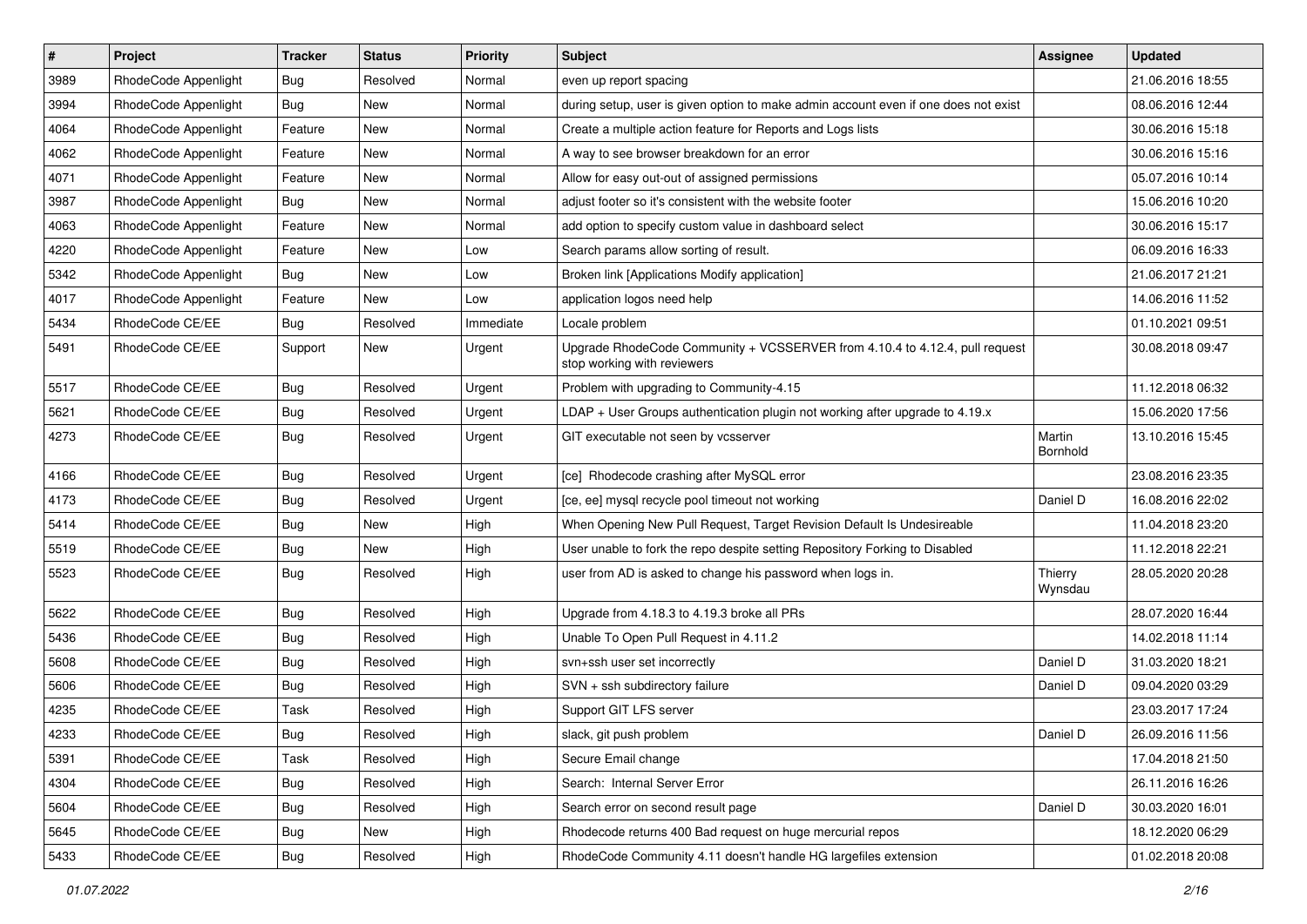| $\pmb{\#}$ | Project              | <b>Tracker</b> | <b>Status</b> | <b>Priority</b> | Subject                                                                                                    | <b>Assignee</b>    | <b>Updated</b>   |
|------------|----------------------|----------------|---------------|-----------------|------------------------------------------------------------------------------------------------------------|--------------------|------------------|
| 3989       | RhodeCode Appenlight | Bug            | Resolved      | Normal          | even up report spacing                                                                                     |                    | 21.06.2016 18:55 |
| 3994       | RhodeCode Appenlight | Bug            | <b>New</b>    | Normal          | during setup, user is given option to make admin account even if one does not exist                        |                    | 08.06.2016 12:44 |
| 4064       | RhodeCode Appenlight | Feature        | New           | Normal          | Create a multiple action feature for Reports and Logs lists                                                |                    | 30.06.2016 15:18 |
| 4062       | RhodeCode Appenlight | Feature        | New           | Normal          | A way to see browser breakdown for an error                                                                |                    | 30.06.2016 15:16 |
| 4071       | RhodeCode Appenlight | Feature        | <b>New</b>    | Normal          | Allow for easy out-out of assigned permissions                                                             |                    | 05.07.2016 10:14 |
| 3987       | RhodeCode Appenlight | Bug            | New           | Normal          | adjust footer so it's consistent with the website footer                                                   |                    | 15.06.2016 10:20 |
| 4063       | RhodeCode Appenlight | Feature        | New           | Normal          | add option to specify custom value in dashboard select                                                     |                    | 30.06.2016 15:17 |
| 4220       | RhodeCode Appenlight | Feature        | New           | Low             | Search params allow sorting of result.                                                                     |                    | 06.09.2016 16:33 |
| 5342       | RhodeCode Appenlight | Bug            | New           | Low             | Broken link [Applications Modify application]                                                              |                    | 21.06.2017 21:21 |
| 4017       | RhodeCode Appenlight | Feature        | New           | Low             | application logos need help                                                                                |                    | 14.06.2016 11:52 |
| 5434       | RhodeCode CE/EE      | Bug            | Resolved      | Immediate       | Locale problem                                                                                             |                    | 01.10.2021 09:51 |
| 5491       | RhodeCode CE/EE      | Support        | New           | Urgent          | Upgrade RhodeCode Community + VCSSERVER from 4.10.4 to 4.12.4, pull request<br>stop working with reviewers |                    | 30.08.2018 09:47 |
| 5517       | RhodeCode CE/EE      | Bug            | Resolved      | Urgent          | Problem with upgrading to Community-4.15                                                                   |                    | 11.12.2018 06:32 |
| 5621       | RhodeCode CE/EE      | <b>Bug</b>     | Resolved      | Urgent          | $LDAP + User Groups authentication playing not working after upgrade to 4.19.x$                            |                    | 15.06.2020 17:56 |
| 4273       | RhodeCode CE/EE      | <b>Bug</b>     | Resolved      | Urgent          | GIT executable not seen by vcsserver                                                                       | Martin<br>Bornhold | 13.10.2016 15:45 |
| 4166       | RhodeCode CE/EE      | Bug            | Resolved      | Urgent          | [ce] Rhodecode crashing after MySQL error                                                                  |                    | 23.08.2016 23:35 |
| 4173       | RhodeCode CE/EE      | <b>Bug</b>     | Resolved      | Urgent          | [ce, ee] mysql recycle pool timeout not working                                                            | Daniel D           | 16.08.2016 22:02 |
| 5414       | RhodeCode CE/EE      | <b>Bug</b>     | New           | High            | When Opening New Pull Request, Target Revision Default Is Undesireable                                     |                    | 11.04.2018 23:20 |
| 5519       | RhodeCode CE/EE      | Bug            | New           | High            | User unable to fork the repo despite setting Repository Forking to Disabled                                |                    | 11.12.2018 22:21 |
| 5523       | RhodeCode CE/EE      | Bug            | Resolved      | High            | user from AD is asked to change his password when logs in.                                                 | Thierry<br>Wynsdau | 28.05.2020 20:28 |
| 5622       | RhodeCode CE/EE      | Bug            | Resolved      | High            | Upgrade from 4.18.3 to 4.19.3 broke all PRs                                                                |                    | 28.07.2020 16:44 |
| 5436       | RhodeCode CE/EE      | Bug            | Resolved      | High            | Unable To Open Pull Request in 4.11.2                                                                      |                    | 14.02.2018 11:14 |
| 5608       | RhodeCode CE/EE      | <b>Bug</b>     | Resolved      | High            | svn+ssh user set incorrectly                                                                               | Daniel D           | 31.03.2020 18:21 |
| 5606       | RhodeCode CE/EE      | Bug            | Resolved      | High            | SVN + ssh subdirectory failure                                                                             | Daniel D           | 09.04.2020 03:29 |
| 4235       | RhodeCode CE/EE      | Task           | Resolved      | High            | Support GIT LFS server                                                                                     |                    | 23.03.2017 17:24 |
| 4233       | RhodeCode CE/EE      | Bug            | Resolved      | High            | slack, git push problem                                                                                    | Daniel D           | 26.09.2016 11:56 |
| 5391       | RhodeCode CE/EE      | Task           | Resolved      | High            | Secure Email change                                                                                        |                    | 17.04.2018 21:50 |
| 4304       | RhodeCode CE/EE      | Bug            | Resolved      | High            | Search: Internal Server Error                                                                              |                    | 26.11.2016 16:26 |
| 5604       | RhodeCode CE/EE      | <b>Bug</b>     | Resolved      | High            | Search error on second result page                                                                         | Daniel D           | 30.03.2020 16:01 |
| 5645       | RhodeCode CE/EE      | Bug            | New           | High            | Rhodecode returns 400 Bad request on huge mercurial repos                                                  |                    | 18.12.2020 06:29 |
| 5433       | RhodeCode CE/EE      | Bug            | Resolved      | High            | RhodeCode Community 4.11 doesn't handle HG largefiles extension                                            |                    | 01.02.2018 20:08 |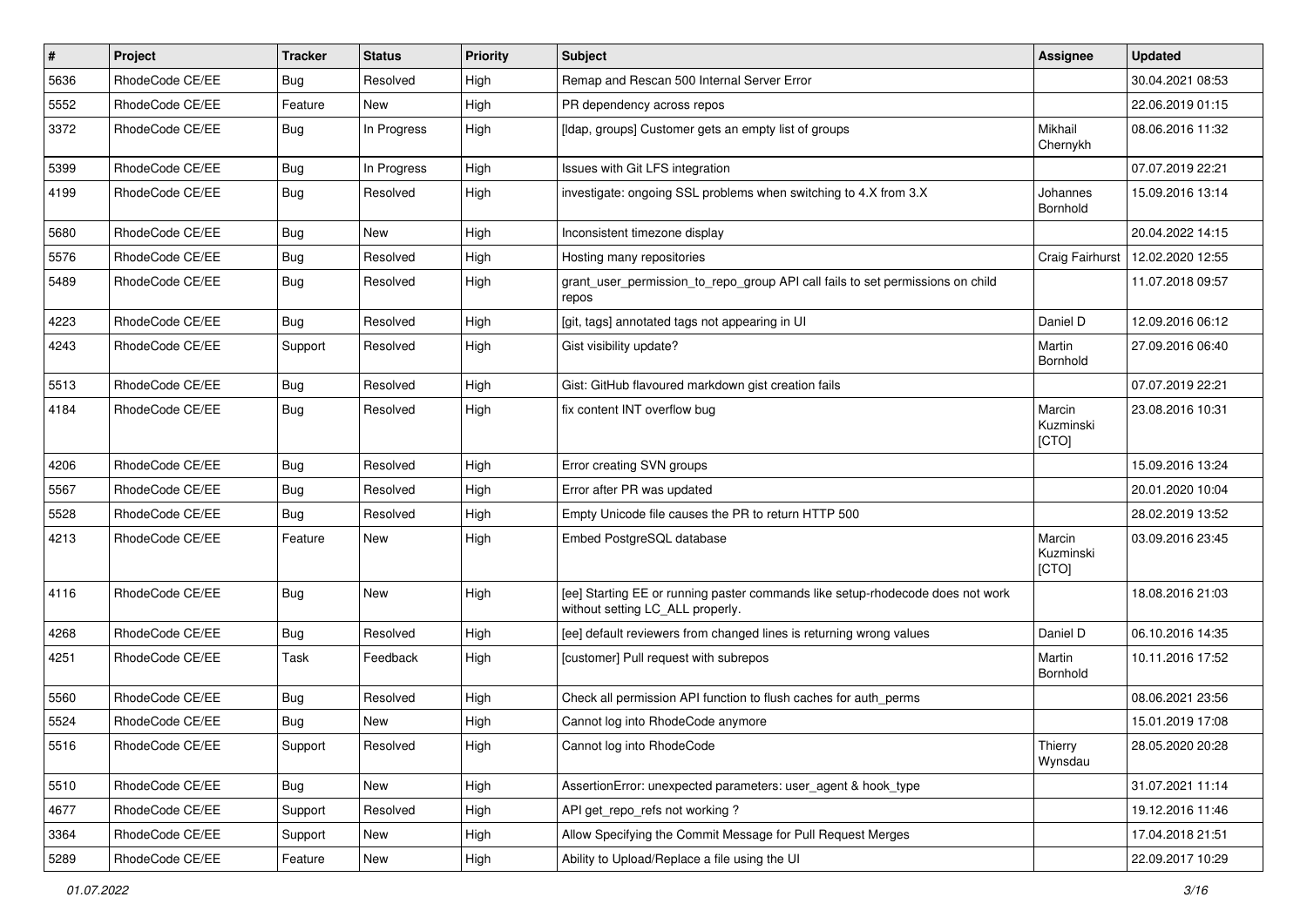| $\pmb{\#}$ | <b>Project</b>  | <b>Tracker</b> | <b>Status</b> | <b>Priority</b> | Subject                                                                                                            | <b>Assignee</b>              | <b>Updated</b>   |
|------------|-----------------|----------------|---------------|-----------------|--------------------------------------------------------------------------------------------------------------------|------------------------------|------------------|
| 5636       | RhodeCode CE/EE | Bug            | Resolved      | High            | Remap and Rescan 500 Internal Server Error                                                                         |                              | 30.04.2021 08:53 |
| 5552       | RhodeCode CE/EE | Feature        | <b>New</b>    | High            | PR dependency across repos                                                                                         |                              | 22.06.2019 01:15 |
| 3372       | RhodeCode CE/EE | Bug            | In Progress   | High            | [Idap, groups] Customer gets an empty list of groups                                                               | Mikhail<br>Chernykh          | 08.06.2016 11:32 |
| 5399       | RhodeCode CE/EE | Bug            | In Progress   | High            | Issues with Git LFS integration                                                                                    |                              | 07.07.2019 22:21 |
| 4199       | RhodeCode CE/EE | Bug            | Resolved      | High            | investigate: ongoing SSL problems when switching to 4.X from 3.X                                                   | Johannes<br>Bornhold         | 15.09.2016 13:14 |
| 5680       | RhodeCode CE/EE | Bug            | New           | High            | Inconsistent timezone display                                                                                      |                              | 20.04.2022 14:15 |
| 5576       | RhodeCode CE/EE | Bug            | Resolved      | High            | Hosting many repositories                                                                                          | Craig Fairhurst              | 12.02.2020 12:55 |
| 5489       | RhodeCode CE/EE | Bug            | Resolved      | High            | grant_user_permission_to_repo_group API call fails to set permissions on child<br>repos                            |                              | 11.07.2018 09:57 |
| 4223       | RhodeCode CE/EE | Bug            | Resolved      | High            | [git, tags] annotated tags not appearing in UI                                                                     | Daniel D                     | 12.09.2016 06:12 |
| 4243       | RhodeCode CE/EE | Support        | Resolved      | High            | Gist visibility update?                                                                                            | Martin<br>Bornhold           | 27.09.2016 06:40 |
| 5513       | RhodeCode CE/EE | Bug            | Resolved      | High            | Gist: GitHub flavoured markdown gist creation fails                                                                |                              | 07.07.2019 22:21 |
| 4184       | RhodeCode CE/EE | Bug            | Resolved      | High            | fix content INT overflow bug                                                                                       | Marcin<br>Kuzminski<br>[CTO] | 23.08.2016 10:31 |
| 4206       | RhodeCode CE/EE | Bug            | Resolved      | High            | Error creating SVN groups                                                                                          |                              | 15.09.2016 13:24 |
| 5567       | RhodeCode CE/EE | Bug            | Resolved      | High            | Error after PR was updated                                                                                         |                              | 20.01.2020 10:04 |
| 5528       | RhodeCode CE/EE | Bug            | Resolved      | High            | Empty Unicode file causes the PR to return HTTP 500                                                                |                              | 28.02.2019 13:52 |
| 4213       | RhodeCode CE/EE | Feature        | New           | High            | Embed PostgreSQL database                                                                                          | Marcin<br>Kuzminski<br>[CTO] | 03.09.2016 23:45 |
| 4116       | RhodeCode CE/EE | Bug            | New           | High            | [ee] Starting EE or running paster commands like setup-rhodecode does not work<br>without setting LC_ALL properly. |                              | 18.08.2016 21:03 |
| 4268       | RhodeCode CE/EE | Bug            | Resolved      | High            | [ee] default reviewers from changed lines is returning wrong values                                                | Daniel D                     | 06.10.2016 14:35 |
| 4251       | RhodeCode CE/EE | Task           | Feedback      | High            | [customer] Pull request with subrepos                                                                              | Martin<br>Bornhold           | 10.11.2016 17:52 |
| 5560       | RhodeCode CE/EE | Bug            | Resolved      | High            | Check all permission API function to flush caches for auth perms                                                   |                              | 08.06.2021 23:56 |
| 5524       | RhodeCode CE/EE | Bug            | New           | High            | Cannot log into RhodeCode anymore                                                                                  |                              | 15.01.2019 17:08 |
| 5516       | RhodeCode CE/EE | Support        | Resolved      | High            | Cannot log into RhodeCode                                                                                          | Thierry<br>Wynsdau           | 28.05.2020 20:28 |
| 5510       | RhodeCode CE/EE | Bug            | New           | High            | AssertionError: unexpected parameters: user_agent & hook_type                                                      |                              | 31.07.2021 11:14 |
| 4677       | RhodeCode CE/EE | Support        | Resolved      | High            | API get repo refs not working?                                                                                     |                              | 19.12.2016 11:46 |
| 3364       | RhodeCode CE/EE | Support        | New           | High            | Allow Specifying the Commit Message for Pull Request Merges                                                        |                              | 17.04.2018 21:51 |
| 5289       | RhodeCode CE/EE | Feature        | New           | High            | Ability to Upload/Replace a file using the UI                                                                      |                              | 22.09.2017 10:29 |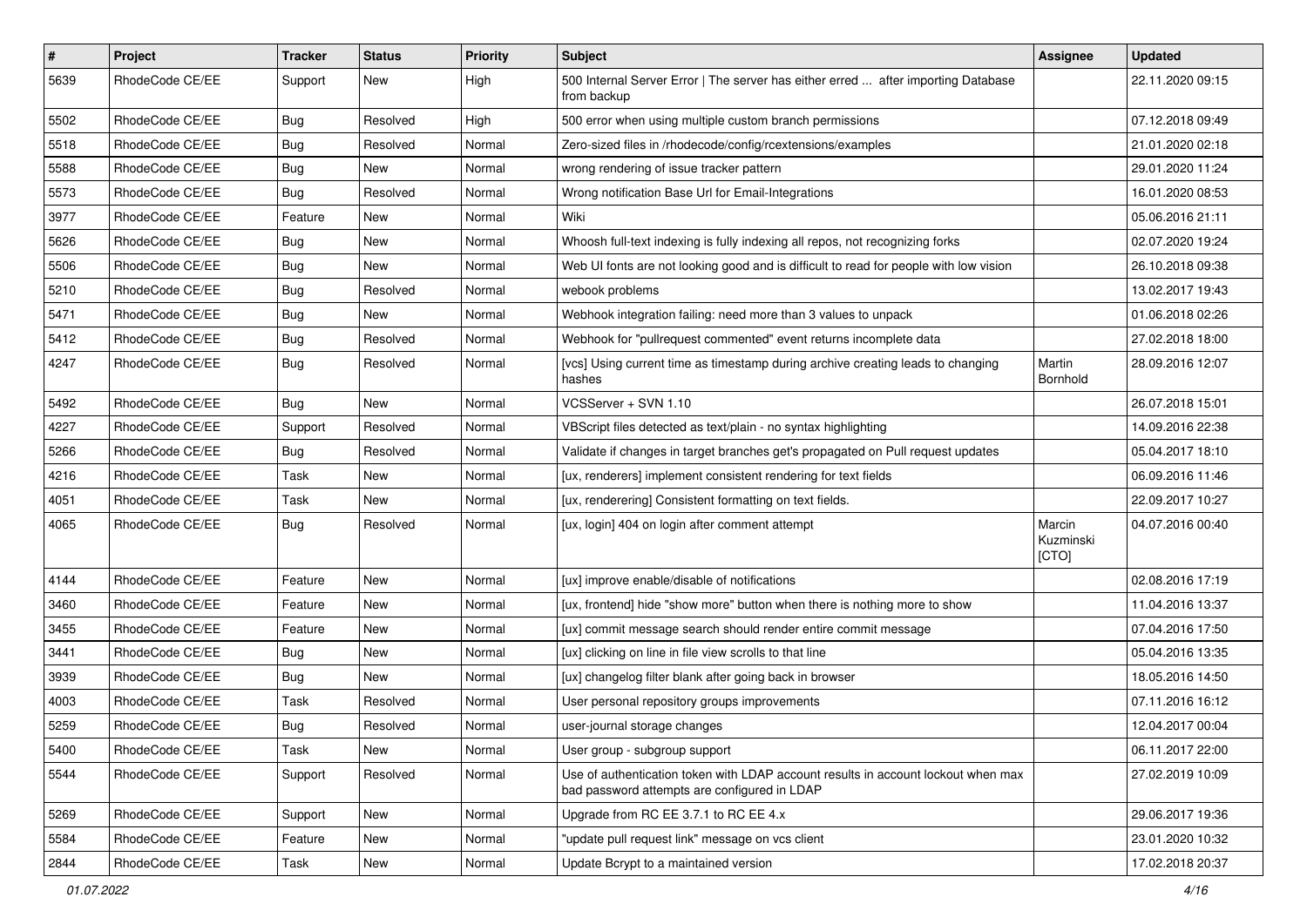| $\pmb{\#}$ | Project         | <b>Tracker</b> | <b>Status</b> | <b>Priority</b> | <b>Subject</b>                                                                                                                    | <b>Assignee</b>              | <b>Updated</b>   |
|------------|-----------------|----------------|---------------|-----------------|-----------------------------------------------------------------------------------------------------------------------------------|------------------------------|------------------|
| 5639       | RhodeCode CE/EE | Support        | New           | High            | 500 Internal Server Error   The server has either erred  after importing Database<br>from backup                                  |                              | 22.11.2020 09:15 |
| 5502       | RhodeCode CE/EE | <b>Bug</b>     | Resolved      | High            | 500 error when using multiple custom branch permissions                                                                           |                              | 07.12.2018 09:49 |
| 5518       | RhodeCode CE/EE | <b>Bug</b>     | Resolved      | Normal          | Zero-sized files in /rhodecode/config/rcextensions/examples                                                                       |                              | 21.01.2020 02:18 |
| 5588       | RhodeCode CE/EE | <b>Bug</b>     | <b>New</b>    | Normal          | wrong rendering of issue tracker pattern                                                                                          |                              | 29.01.2020 11:24 |
| 5573       | RhodeCode CE/EE | Bug            | Resolved      | Normal          | Wrong notification Base Url for Email-Integrations                                                                                |                              | 16.01.2020 08:53 |
| 3977       | RhodeCode CE/EE | Feature        | New           | Normal          | Wiki                                                                                                                              |                              | 05.06.2016 21:11 |
| 5626       | RhodeCode CE/EE | <b>Bug</b>     | New           | Normal          | Whoosh full-text indexing is fully indexing all repos, not recognizing forks                                                      |                              | 02.07.2020 19:24 |
| 5506       | RhodeCode CE/EE | <b>Bug</b>     | <b>New</b>    | Normal          | Web UI fonts are not looking good and is difficult to read for people with low vision                                             |                              | 26.10.2018 09:38 |
| 5210       | RhodeCode CE/EE | Bug            | Resolved      | Normal          | webook problems                                                                                                                   |                              | 13.02.2017 19:43 |
| 5471       | RhodeCode CE/EE | Bug            | New           | Normal          | Webhook integration failing: need more than 3 values to unpack                                                                    |                              | 01.06.2018 02:26 |
| 5412       | RhodeCode CE/EE | Bug            | Resolved      | Normal          | Webhook for "pullrequest commented" event returns incomplete data                                                                 |                              | 27.02.2018 18:00 |
| 4247       | RhodeCode CE/EE | Bug            | Resolved      | Normal          | [vcs] Using current time as timestamp during archive creating leads to changing<br>hashes                                         | Martin<br>Bornhold           | 28.09.2016 12:07 |
| 5492       | RhodeCode CE/EE | Bug            | <b>New</b>    | Normal          | VCSServer + SVN 1.10                                                                                                              |                              | 26.07.2018 15:01 |
| 4227       | RhodeCode CE/EE | Support        | Resolved      | Normal          | VBScript files detected as text/plain - no syntax highlighting                                                                    |                              | 14.09.2016 22:38 |
| 5266       | RhodeCode CE/EE | Bug            | Resolved      | Normal          | Validate if changes in target branches get's propagated on Pull request updates                                                   |                              | 05.04.2017 18:10 |
| 4216       | RhodeCode CE/EE | Task           | <b>New</b>    | Normal          | [ux, renderers] implement consistent rendering for text fields                                                                    |                              | 06.09.2016 11:46 |
| 4051       | RhodeCode CE/EE | Task           | <b>New</b>    | Normal          | [ux, renderering] Consistent formatting on text fields.                                                                           |                              | 22.09.2017 10:27 |
| 4065       | RhodeCode CE/EE | Bug            | Resolved      | Normal          | [ux, login] 404 on login after comment attempt                                                                                    | Marcin<br>Kuzminski<br>[CTO] | 04.07.2016 00:40 |
| 4144       | RhodeCode CE/EE | Feature        | <b>New</b>    | Normal          | [ux] improve enable/disable of notifications                                                                                      |                              | 02.08.2016 17:19 |
| 3460       | RhodeCode CE/EE | Feature        | New           | Normal          | [ux, frontend] hide "show more" button when there is nothing more to show                                                         |                              | 11.04.2016 13:37 |
| 3455       | RhodeCode CE/EE | Feature        | <b>New</b>    | Normal          | [ux] commit message search should render entire commit message                                                                    |                              | 07.04.2016 17:50 |
| 3441       | RhodeCode CE/EE | Bug            | <b>New</b>    | Normal          | [ux] clicking on line in file view scrolls to that line                                                                           |                              | 05.04.2016 13:35 |
| 3939       | RhodeCode CE/EE | Bug            | <b>New</b>    | Normal          | [ux] changelog filter blank after going back in browser                                                                           |                              | 18.05.2016 14:50 |
| 4003       | RhodeCode CE/EE | Task           | Resolved      | Normal          | User personal repository groups improvements                                                                                      |                              | 07.11.2016 16:12 |
| 5259       | RhodeCode CE/EE | Bug            | Resolved      | Normal          | user-journal storage changes                                                                                                      |                              | 12.04.2017 00:04 |
| 5400       | RhodeCode CE/EE | Task           | New           | Normal          | User group - subgroup support                                                                                                     |                              | 06.11.2017 22:00 |
| 5544       | RhodeCode CE/EE | Support        | Resolved      | Normal          | Use of authentication token with LDAP account results in account lockout when max<br>bad password attempts are configured in LDAP |                              | 27.02.2019 10:09 |
| 5269       | RhodeCode CE/EE | Support        | <b>New</b>    | Normal          | Upgrade from RC EE 3.7.1 to RC EE 4.x                                                                                             |                              | 29.06.2017 19:36 |
| 5584       | RhodeCode CE/EE | Feature        | New           | Normal          | "update pull request link" message on vcs client                                                                                  |                              | 23.01.2020 10:32 |
| 2844       | RhodeCode CE/EE | Task           | New           | Normal          | Update Bcrypt to a maintained version                                                                                             |                              | 17.02.2018 20:37 |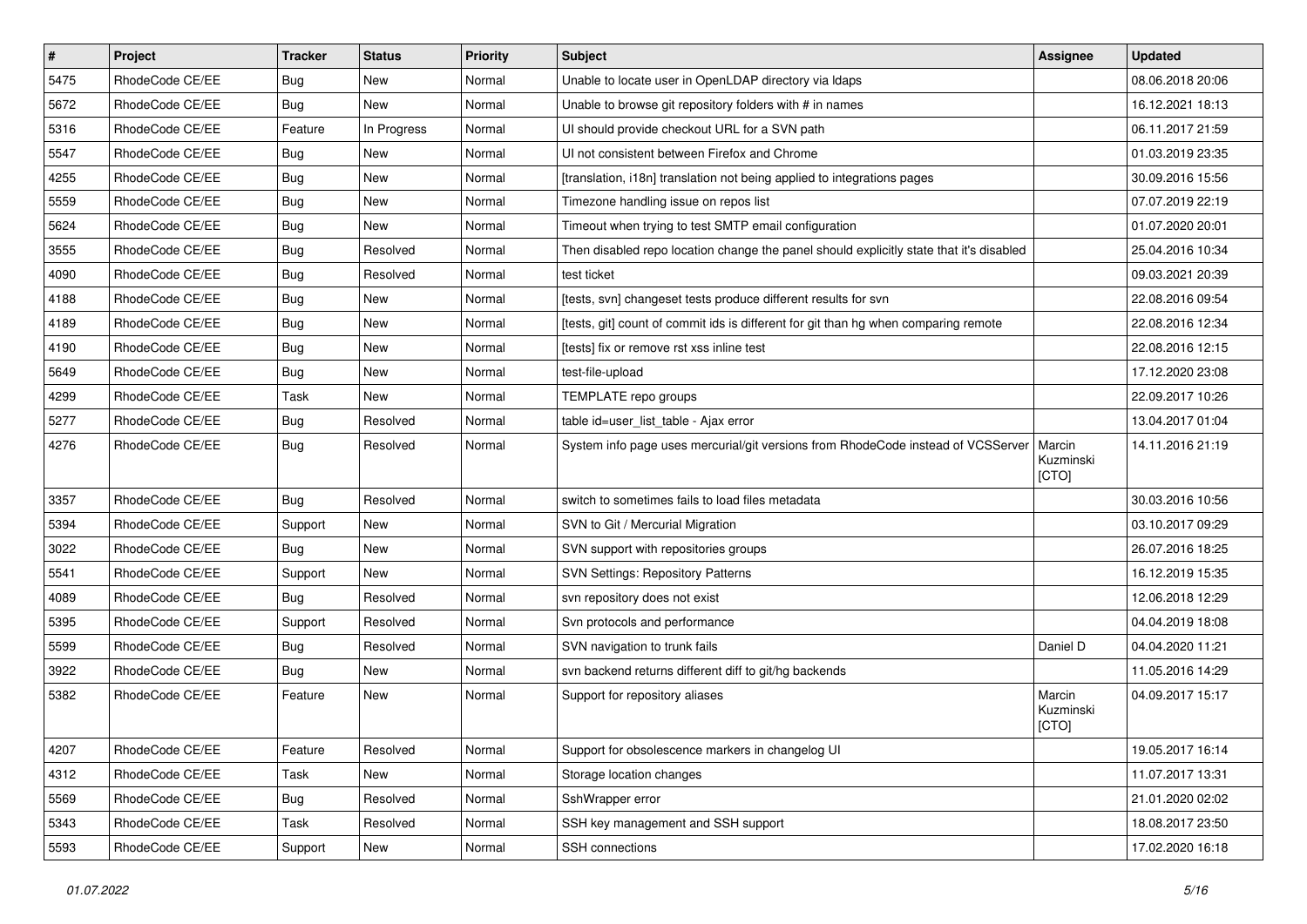| $\vert$ # | Project         | <b>Tracker</b> | <b>Status</b> | Priority | <b>Subject</b>                                                                          | <b>Assignee</b>              | <b>Updated</b>   |
|-----------|-----------------|----------------|---------------|----------|-----------------------------------------------------------------------------------------|------------------------------|------------------|
| 5475      | RhodeCode CE/EE | Bug            | New           | Normal   | Unable to locate user in OpenLDAP directory via Idaps                                   |                              | 08.06.2018 20:06 |
| 5672      | RhodeCode CE/EE | Bug            | <b>New</b>    | Normal   | Unable to browse git repository folders with # in names                                 |                              | 16.12.2021 18:13 |
| 5316      | RhodeCode CE/EE | Feature        | In Progress   | Normal   | UI should provide checkout URL for a SVN path                                           |                              | 06.11.2017 21:59 |
| 5547      | RhodeCode CE/EE | Bug            | New           | Normal   | UI not consistent between Firefox and Chrome                                            |                              | 01.03.2019 23:35 |
| 4255      | RhodeCode CE/EE | Bug            | <b>New</b>    | Normal   | [translation, i18n] translation not being applied to integrations pages                 |                              | 30.09.2016 15:56 |
| 5559      | RhodeCode CE/EE | Bug            | New           | Normal   | Timezone handling issue on repos list                                                   |                              | 07.07.2019 22:19 |
| 5624      | RhodeCode CE/EE | Bug            | <b>New</b>    | Normal   | Timeout when trying to test SMTP email configuration                                    |                              | 01.07.2020 20:01 |
| 3555      | RhodeCode CE/EE | Bug            | Resolved      | Normal   | Then disabled repo location change the panel should explicitly state that it's disabled |                              | 25.04.2016 10:34 |
| 4090      | RhodeCode CE/EE | Bug            | Resolved      | Normal   | test ticket                                                                             |                              | 09.03.2021 20:39 |
| 4188      | RhodeCode CE/EE | <b>Bug</b>     | <b>New</b>    | Normal   | [tests, svn] changeset tests produce different results for svn                          |                              | 22.08.2016 09:54 |
| 4189      | RhodeCode CE/EE | Bug            | New           | Normal   | [tests, git] count of commit ids is different for git than hg when comparing remote     |                              | 22.08.2016 12:34 |
| 4190      | RhodeCode CE/EE | Bug            | <b>New</b>    | Normal   | [tests] fix or remove rst xss inline test                                               |                              | 22.08.2016 12:15 |
| 5649      | RhodeCode CE/EE | Bug            | New           | Normal   | test-file-upload                                                                        |                              | 17.12.2020 23:08 |
| 4299      | RhodeCode CE/EE | Task           | New           | Normal   | TEMPLATE repo groups                                                                    |                              | 22.09.2017 10:26 |
| 5277      | RhodeCode CE/EE | Bug            | Resolved      | Normal   | table id=user_list_table - Ajax error                                                   |                              | 13.04.2017 01:04 |
| 4276      | RhodeCode CE/EE | Bug            | Resolved      | Normal   | System info page uses mercurial/git versions from RhodeCode instead of VCSServer        | Marcin<br>Kuzminski<br>[CTO] | 14.11.2016 21:19 |
| 3357      | RhodeCode CE/EE | <b>Bug</b>     | Resolved      | Normal   | switch to sometimes fails to load files metadata                                        |                              | 30.03.2016 10:56 |
| 5394      | RhodeCode CE/EE | Support        | <b>New</b>    | Normal   | SVN to Git / Mercurial Migration                                                        |                              | 03.10.2017 09:29 |
| 3022      | RhodeCode CE/EE | <b>Bug</b>     | New           | Normal   | SVN support with repositories groups                                                    |                              | 26.07.2016 18:25 |
| 5541      | RhodeCode CE/EE | Support        | New           | Normal   | <b>SVN Settings: Repository Patterns</b>                                                |                              | 16.12.2019 15:35 |
| 4089      | RhodeCode CE/EE | Bug            | Resolved      | Normal   | svn repository does not exist                                                           |                              | 12.06.2018 12:29 |
| 5395      | RhodeCode CE/EE | Support        | Resolved      | Normal   | Svn protocols and performance                                                           |                              | 04.04.2019 18:08 |
| 5599      | RhodeCode CE/EE | Bug            | Resolved      | Normal   | SVN navigation to trunk fails                                                           | Daniel D                     | 04.04.2020 11:21 |
| 3922      | RhodeCode CE/EE | Bug            | <b>New</b>    | Normal   | svn backend returns different diff to git/hg backends                                   |                              | 11.05.2016 14:29 |
| 5382      | RhodeCode CE/EE | Feature        | New           | Normal   | Support for repository aliases                                                          | Marcin<br>Kuzminski<br>[CTO] | 04.09.2017 15:17 |
| 4207      | RhodeCode CE/EE | Feature        | Resolved      | Normal   | Support for obsolescence markers in changelog UI                                        |                              | 19.05.2017 16:14 |
| 4312      | RhodeCode CE/EE | Task           | New           | Normal   | Storage location changes                                                                |                              | 11.07.2017 13:31 |
| 5569      | RhodeCode CE/EE | Bug            | Resolved      | Normal   | SshWrapper error                                                                        |                              | 21.01.2020 02:02 |
| 5343      | RhodeCode CE/EE | Task           | Resolved      | Normal   | SSH key management and SSH support                                                      |                              | 18.08.2017 23:50 |
| 5593      | RhodeCode CE/EE | Support        | New           | Normal   | SSH connections                                                                         |                              | 17.02.2020 16:18 |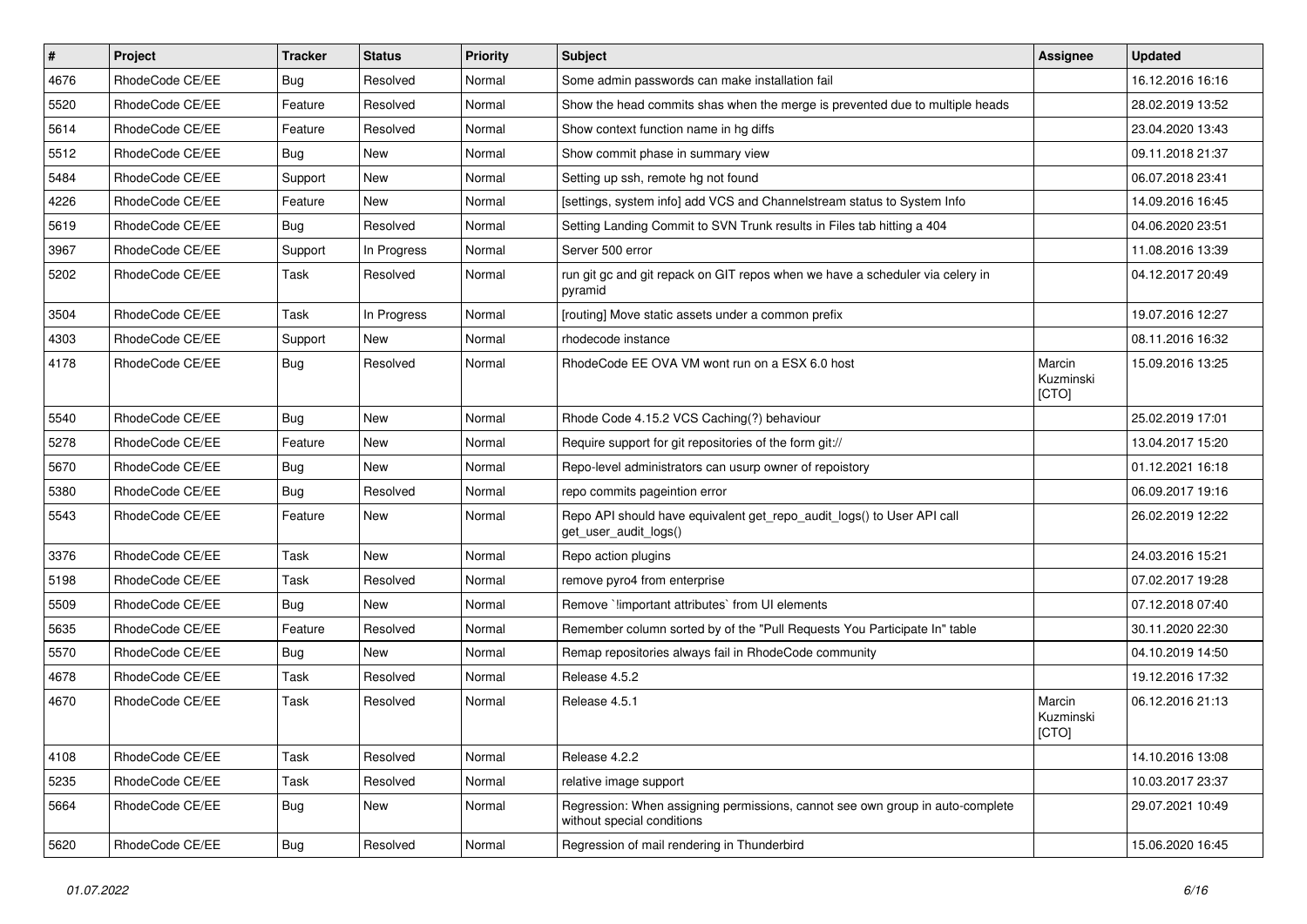| $\vert$ # | Project         | <b>Tracker</b> | <b>Status</b> | <b>Priority</b> | <b>Subject</b>                                                                                              | <b>Assignee</b>              | <b>Updated</b>   |
|-----------|-----------------|----------------|---------------|-----------------|-------------------------------------------------------------------------------------------------------------|------------------------------|------------------|
| 4676      | RhodeCode CE/EE | Bug            | Resolved      | Normal          | Some admin passwords can make installation fail                                                             |                              | 16.12.2016 16:16 |
| 5520      | RhodeCode CE/EE | Feature        | Resolved      | Normal          | Show the head commits shas when the merge is prevented due to multiple heads                                |                              | 28.02.2019 13:52 |
| 5614      | RhodeCode CE/EE | Feature        | Resolved      | Normal          | Show context function name in hg diffs                                                                      |                              | 23.04.2020 13:43 |
| 5512      | RhodeCode CE/EE | <b>Bug</b>     | <b>New</b>    | Normal          | Show commit phase in summary view                                                                           |                              | 09.11.2018 21:37 |
| 5484      | RhodeCode CE/EE | Support        | New           | Normal          | Setting up ssh, remote hg not found                                                                         |                              | 06.07.2018 23:41 |
| 4226      | RhodeCode CE/EE | Feature        | <b>New</b>    | Normal          | [settings, system info] add VCS and Channelstream status to System Info                                     |                              | 14.09.2016 16:45 |
| 5619      | RhodeCode CE/EE | Bug            | Resolved      | Normal          | Setting Landing Commit to SVN Trunk results in Files tab hitting a 404                                      |                              | 04.06.2020 23:51 |
| 3967      | RhodeCode CE/EE | Support        | In Progress   | Normal          | Server 500 error                                                                                            |                              | 11.08.2016 13:39 |
| 5202      | RhodeCode CE/EE | Task           | Resolved      | Normal          | run git gc and git repack on GIT repos when we have a scheduler via celery in<br>pyramid                    |                              | 04.12.2017 20:49 |
| 3504      | RhodeCode CE/EE | Task           | In Progress   | Normal          | [routing] Move static assets under a common prefix                                                          |                              | 19.07.2016 12:27 |
| 4303      | RhodeCode CE/EE | Support        | <b>New</b>    | Normal          | rhodecode instance                                                                                          |                              | 08.11.2016 16:32 |
| 4178      | RhodeCode CE/EE | Bug            | Resolved      | Normal          | RhodeCode EE OVA VM wont run on a ESX 6.0 host                                                              | Marcin<br>Kuzminski<br>[CTO] | 15.09.2016 13:25 |
| 5540      | RhodeCode CE/EE | Bug            | New           | Normal          | Rhode Code 4.15.2 VCS Caching(?) behaviour                                                                  |                              | 25.02.2019 17:01 |
| 5278      | RhodeCode CE/EE | Feature        | New           | Normal          | Require support for git repositories of the form git://                                                     |                              | 13.04.2017 15:20 |
| 5670      | RhodeCode CE/EE | Bug            | <b>New</b>    | Normal          | Repo-level administrators can usurp owner of repoistory                                                     |                              | 01.12.2021 16:18 |
| 5380      | RhodeCode CE/EE | <b>Bug</b>     | Resolved      | Normal          | repo commits pageintion error                                                                               |                              | 06.09.2017 19:16 |
| 5543      | RhodeCode CE/EE | Feature        | <b>New</b>    | Normal          | Repo API should have equivalent get_repo_audit_logs() to User API call<br>get_user_audit_logs()             |                              | 26.02.2019 12:22 |
| 3376      | RhodeCode CE/EE | Task           | New           | Normal          | Repo action plugins                                                                                         |                              | 24.03.2016 15:21 |
| 5198      | RhodeCode CE/EE | Task           | Resolved      | Normal          | remove pyro4 from enterprise                                                                                |                              | 07.02.2017 19:28 |
| 5509      | RhodeCode CE/EE | Bug            | <b>New</b>    | Normal          | Remove `!important attributes` from UI elements                                                             |                              | 07.12.2018 07:40 |
| 5635      | RhodeCode CE/EE | Feature        | Resolved      | Normal          | Remember column sorted by of the "Pull Requests You Participate In" table                                   |                              | 30.11.2020 22:30 |
| 5570      | RhodeCode CE/EE | Bug            | <b>New</b>    | Normal          | Remap repositories always fail in RhodeCode community                                                       |                              | 04.10.2019 14:50 |
| 4678      | RhodeCode CE/EE | Task           | Resolved      | Normal          | Release 4.5.2                                                                                               |                              | 19.12.2016 17:32 |
| 4670      | RhodeCode CE/EE | Task           | Resolved      | Normal          | Release 4.5.1                                                                                               | Marcin<br>Kuzminski<br>[CTO] | 06.12.2016 21:13 |
| 4108      | RhodeCode CE/EE | Task           | Resolved      | Normal          | Release 4.2.2                                                                                               |                              | 14.10.2016 13:08 |
| 5235      | RhodeCode CE/EE | Task           | Resolved      | Normal          | relative image support                                                                                      |                              | 10.03.2017 23:37 |
| 5664      | RhodeCode CE/EE | <b>Bug</b>     | New           | Normal          | Regression: When assigning permissions, cannot see own group in auto-complete<br>without special conditions |                              | 29.07.2021 10:49 |
| 5620      | RhodeCode CE/EE | Bug            | Resolved      | Normal          | Regression of mail rendering in Thunderbird                                                                 |                              | 15.06.2020 16:45 |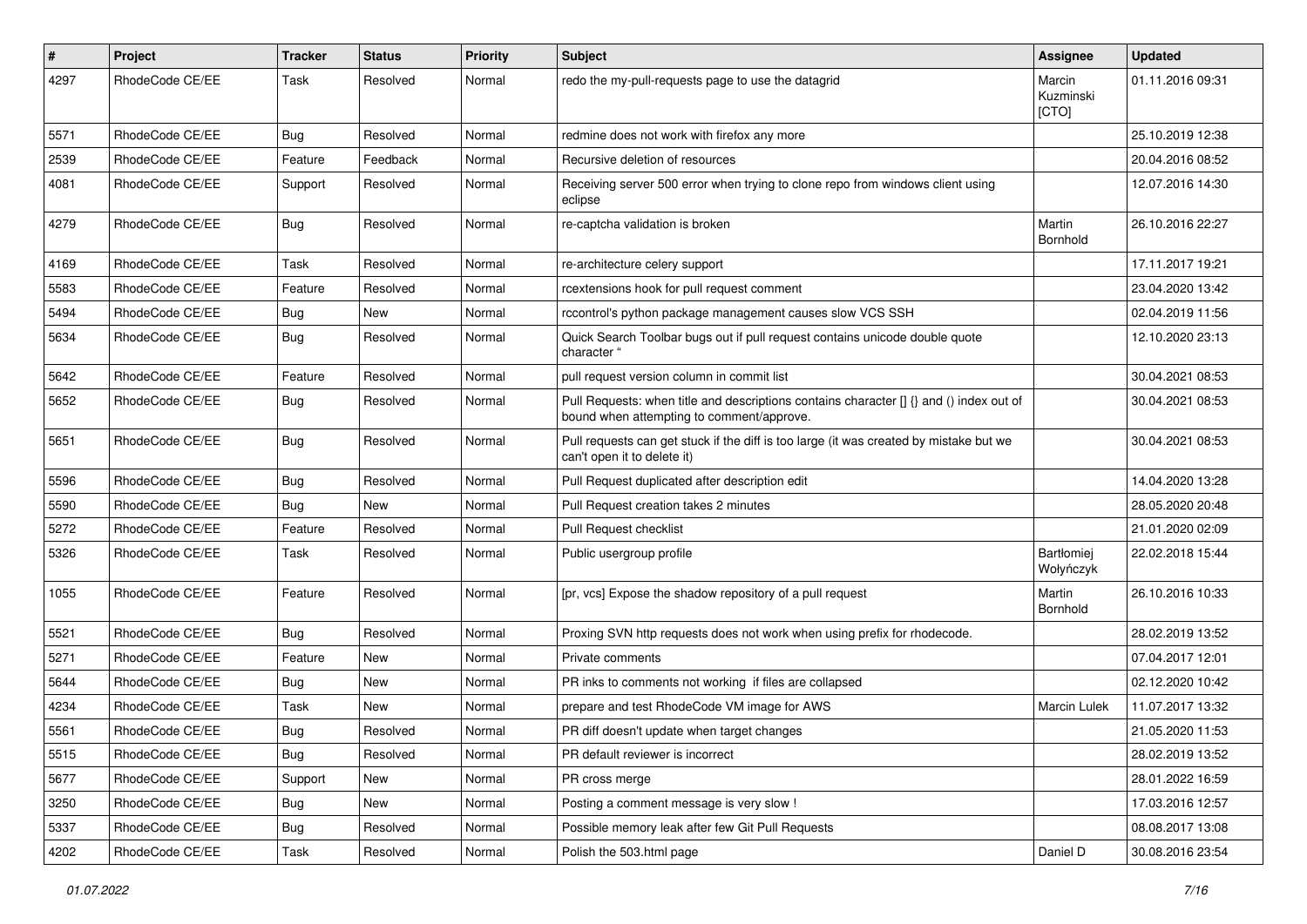| $\#$ | Project         | Tracker    | <b>Status</b> | <b>Priority</b> | <b>Subject</b>                                                                                                                       | <b>Assignee</b>              | <b>Updated</b>   |
|------|-----------------|------------|---------------|-----------------|--------------------------------------------------------------------------------------------------------------------------------------|------------------------------|------------------|
| 4297 | RhodeCode CE/EE | Task       | Resolved      | Normal          | redo the my-pull-requests page to use the datagrid                                                                                   | Marcin<br>Kuzminski<br>[CTO] | 01.11.2016 09:31 |
| 5571 | RhodeCode CE/EE | Bug        | Resolved      | Normal          | redmine does not work with firefox any more                                                                                          |                              | 25.10.2019 12:38 |
| 2539 | RhodeCode CE/EE | Feature    | Feedback      | Normal          | Recursive deletion of resources                                                                                                      |                              | 20.04.2016 08:52 |
| 4081 | RhodeCode CE/EE | Support    | Resolved      | Normal          | Receiving server 500 error when trying to clone repo from windows client using<br>eclipse                                            |                              | 12.07.2016 14:30 |
| 4279 | RhodeCode CE/EE | Bug        | Resolved      | Normal          | re-captcha validation is broken                                                                                                      | Martin<br>Bornhold           | 26.10.2016 22:27 |
| 4169 | RhodeCode CE/EE | Task       | Resolved      | Normal          | re-architecture celery support                                                                                                       |                              | 17.11.2017 19:21 |
| 5583 | RhodeCode CE/EE | Feature    | Resolved      | Normal          | rcextensions hook for pull request comment                                                                                           |                              | 23.04.2020 13:42 |
| 5494 | RhodeCode CE/EE | Bug        | New           | Normal          | rccontrol's python package management causes slow VCS SSH                                                                            |                              | 02.04.2019 11:56 |
| 5634 | RhodeCode CE/EE | Bug        | Resolved      | Normal          | Quick Search Toolbar bugs out if pull request contains unicode double quote<br>character "                                           |                              | 12.10.2020 23:13 |
| 5642 | RhodeCode CE/EE | Feature    | Resolved      | Normal          | pull request version column in commit list                                                                                           |                              | 30.04.2021 08:53 |
| 5652 | RhodeCode CE/EE | Bug        | Resolved      | Normal          | Pull Requests: when title and descriptions contains character [] {} and () index out of<br>bound when attempting to comment/approve. |                              | 30.04.2021 08:53 |
| 5651 | RhodeCode CE/EE | <b>Bug</b> | Resolved      | Normal          | Pull requests can get stuck if the diff is too large (it was created by mistake but we<br>can't open it to delete it)                |                              | 30.04.2021 08:53 |
| 5596 | RhodeCode CE/EE | <b>Bug</b> | Resolved      | Normal          | Pull Request duplicated after description edit                                                                                       |                              | 14.04.2020 13:28 |
| 5590 | RhodeCode CE/EE | <b>Bug</b> | <b>New</b>    | Normal          | Pull Request creation takes 2 minutes                                                                                                |                              | 28.05.2020 20:48 |
| 5272 | RhodeCode CE/EE | Feature    | Resolved      | Normal          | Pull Request checklist                                                                                                               |                              | 21.01.2020 02:09 |
| 5326 | RhodeCode CE/EE | Task       | Resolved      | Normal          | Public usergroup profile                                                                                                             | Bartłomiej<br>Wołyńczyk      | 22.02.2018 15:44 |
| 1055 | RhodeCode CE/EE | Feature    | Resolved      | Normal          | [pr, vcs] Expose the shadow repository of a pull request                                                                             | Martin<br>Bornhold           | 26.10.2016 10:33 |
| 5521 | RhodeCode CE/EE | Bug        | Resolved      | Normal          | Proxing SVN http requests does not work when using prefix for rhodecode.                                                             |                              | 28.02.2019 13:52 |
| 5271 | RhodeCode CE/EE | Feature    | New           | Normal          | Private comments                                                                                                                     |                              | 07.04.2017 12:01 |
| 5644 | RhodeCode CE/EE | <b>Bug</b> | New           | Normal          | PR inks to comments not working if files are collapsed                                                                               |                              | 02.12.2020 10:42 |
| 4234 | RhodeCode CE/EE | Task       | New           | Normal          | prepare and test RhodeCode VM image for AWS                                                                                          | Marcin Lulek                 | 11.07.2017 13:32 |
| 5561 | RhodeCode CE/EE | <b>Bug</b> | Resolved      | Normal          | PR diff doesn't update when target changes                                                                                           |                              | 21.05.2020 11:53 |
| 5515 | RhodeCode CE/EE | Bug        | Resolved      | Normal          | PR default reviewer is incorrect                                                                                                     |                              | 28.02.2019 13:52 |
| 5677 | RhodeCode CE/EE | Support    | New           | Normal          | PR cross merge                                                                                                                       |                              | 28.01.2022 16:59 |
| 3250 | RhodeCode CE/EE | <b>Bug</b> | New           | Normal          | Posting a comment message is very slow !                                                                                             |                              | 17.03.2016 12:57 |
| 5337 | RhodeCode CE/EE | <b>Bug</b> | Resolved      | Normal          | Possible memory leak after few Git Pull Requests                                                                                     |                              | 08.08.2017 13:08 |
| 4202 | RhodeCode CE/EE | Task       | Resolved      | Normal          | Polish the 503.html page                                                                                                             | Daniel D                     | 30.08.2016 23:54 |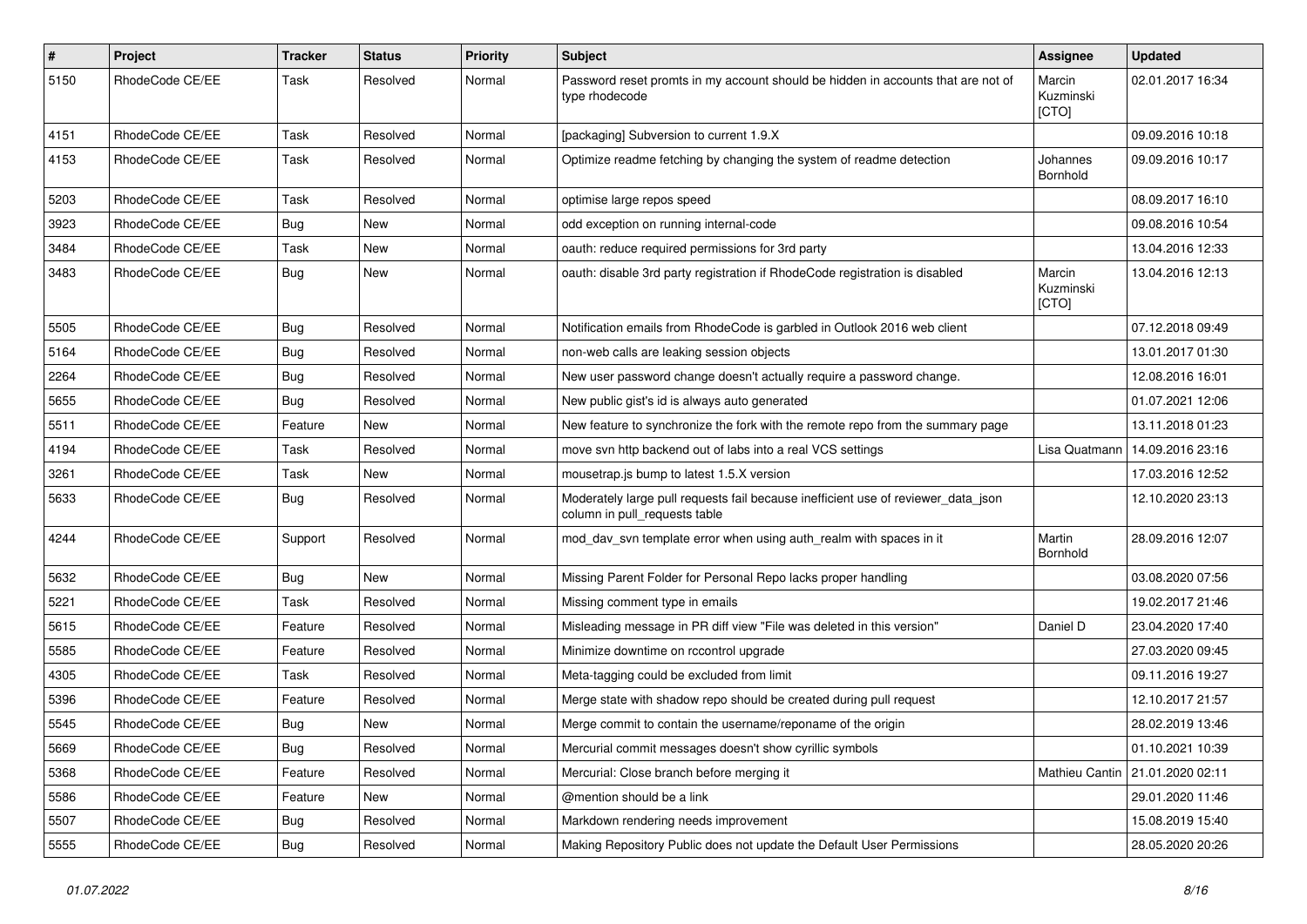| $\sharp$ | Project         | <b>Tracker</b> | <b>Status</b> | <b>Priority</b> | Subject                                                                                                            | Assignee                     | <b>Updated</b>   |
|----------|-----------------|----------------|---------------|-----------------|--------------------------------------------------------------------------------------------------------------------|------------------------------|------------------|
| 5150     | RhodeCode CE/EE | Task           | Resolved      | Normal          | Password reset promts in my account should be hidden in accounts that are not of<br>type rhodecode                 | Marcin<br>Kuzminski<br>[CTO] | 02.01.2017 16:34 |
| 4151     | RhodeCode CE/EE | Task           | Resolved      | Normal          | [packaging] Subversion to current 1.9.X                                                                            |                              | 09.09.2016 10:18 |
| 4153     | RhodeCode CE/EE | Task           | Resolved      | Normal          | Optimize readme fetching by changing the system of readme detection                                                | Johannes<br>Bornhold         | 09.09.2016 10:17 |
| 5203     | RhodeCode CE/EE | Task           | Resolved      | Normal          | optimise large repos speed                                                                                         |                              | 08.09.2017 16:10 |
| 3923     | RhodeCode CE/EE | <b>Bug</b>     | New           | Normal          | odd exception on running internal-code                                                                             |                              | 09.08.2016 10:54 |
| 3484     | RhodeCode CE/EE | Task           | New           | Normal          | oauth: reduce required permissions for 3rd party                                                                   |                              | 13.04.2016 12:33 |
| 3483     | RhodeCode CE/EE | <b>Bug</b>     | New           | Normal          | oauth: disable 3rd party registration if RhodeCode registration is disabled                                        | Marcin<br>Kuzminski<br>[CTO] | 13.04.2016 12:13 |
| 5505     | RhodeCode CE/EE | <b>Bug</b>     | Resolved      | Normal          | Notification emails from RhodeCode is garbled in Outlook 2016 web client                                           |                              | 07.12.2018 09:49 |
| 5164     | RhodeCode CE/EE | <b>Bug</b>     | Resolved      | Normal          | non-web calls are leaking session objects                                                                          |                              | 13.01.2017 01:30 |
| 2264     | RhodeCode CE/EE | <b>Bug</b>     | Resolved      | Normal          | New user password change doesn't actually require a password change.                                               |                              | 12.08.2016 16:01 |
| 5655     | RhodeCode CE/EE | Bug            | Resolved      | Normal          | New public gist's id is always auto generated                                                                      |                              | 01.07.2021 12:06 |
| 5511     | RhodeCode CE/EE | Feature        | New           | Normal          | New feature to synchronize the fork with the remote repo from the summary page                                     |                              | 13.11.2018 01:23 |
| 4194     | RhodeCode CE/EE | Task           | Resolved      | Normal          | move svn http backend out of labs into a real VCS settings                                                         | Lisa Quatmann                | 14.09.2016 23:16 |
| 3261     | RhodeCode CE/EE | Task           | New           | Normal          | mousetrap.js bump to latest 1.5.X version                                                                          |                              | 17.03.2016 12:52 |
| 5633     | RhodeCode CE/EE | Bug            | Resolved      | Normal          | Moderately large pull requests fail because inefficient use of reviewer_data_json<br>column in pull_requests table |                              | 12.10.2020 23:13 |
| 4244     | RhodeCode CE/EE | Support        | Resolved      | Normal          | mod day syn template error when using auth realm with spaces in it                                                 | Martin<br>Bornhold           | 28.09.2016 12:07 |
| 5632     | RhodeCode CE/EE | Bug            | <b>New</b>    | Normal          | Missing Parent Folder for Personal Repo lacks proper handling                                                      |                              | 03.08.2020 07:56 |
| 5221     | RhodeCode CE/EE | Task           | Resolved      | Normal          | Missing comment type in emails                                                                                     |                              | 19.02.2017 21:46 |
| 5615     | RhodeCode CE/EE | Feature        | Resolved      | Normal          | Misleading message in PR diff view "File was deleted in this version"                                              | Daniel D                     | 23.04.2020 17:40 |
| 5585     | RhodeCode CE/EE | Feature        | Resolved      | Normal          | Minimize downtime on rccontrol upgrade                                                                             |                              | 27.03.2020 09:45 |
| 4305     | RhodeCode CE/EE | Task           | Resolved      | Normal          | Meta-tagging could be excluded from limit                                                                          |                              | 09.11.2016 19:27 |
| 5396     | RhodeCode CE/EE | Feature        | Resolved      | Normal          | Merge state with shadow repo should be created during pull request                                                 |                              | 12.10.2017 21:57 |
| 5545     | RhodeCode CE/EE | Bug            | New           | Normal          | Merge commit to contain the username/reponame of the origin                                                        |                              | 28.02.2019 13:46 |
| 5669     | RhodeCode CE/EE | Bug            | Resolved      | Normal          | Mercurial commit messages doesn't show cyrillic symbols                                                            |                              | 01.10.2021 10:39 |
| 5368     | RhodeCode CE/EE | Feature        | Resolved      | Normal          | Mercurial: Close branch before merging it                                                                          | Mathieu Cantin               | 21.01.2020 02:11 |
| 5586     | RhodeCode CE/EE | Feature        | New           | Normal          | @mention should be a link                                                                                          |                              | 29.01.2020 11:46 |
| 5507     | RhodeCode CE/EE | <b>Bug</b>     | Resolved      | Normal          | Markdown rendering needs improvement                                                                               |                              | 15.08.2019 15:40 |
| 5555     | RhodeCode CE/EE | <b>Bug</b>     | Resolved      | Normal          | Making Repository Public does not update the Default User Permissions                                              |                              | 28.05.2020 20:26 |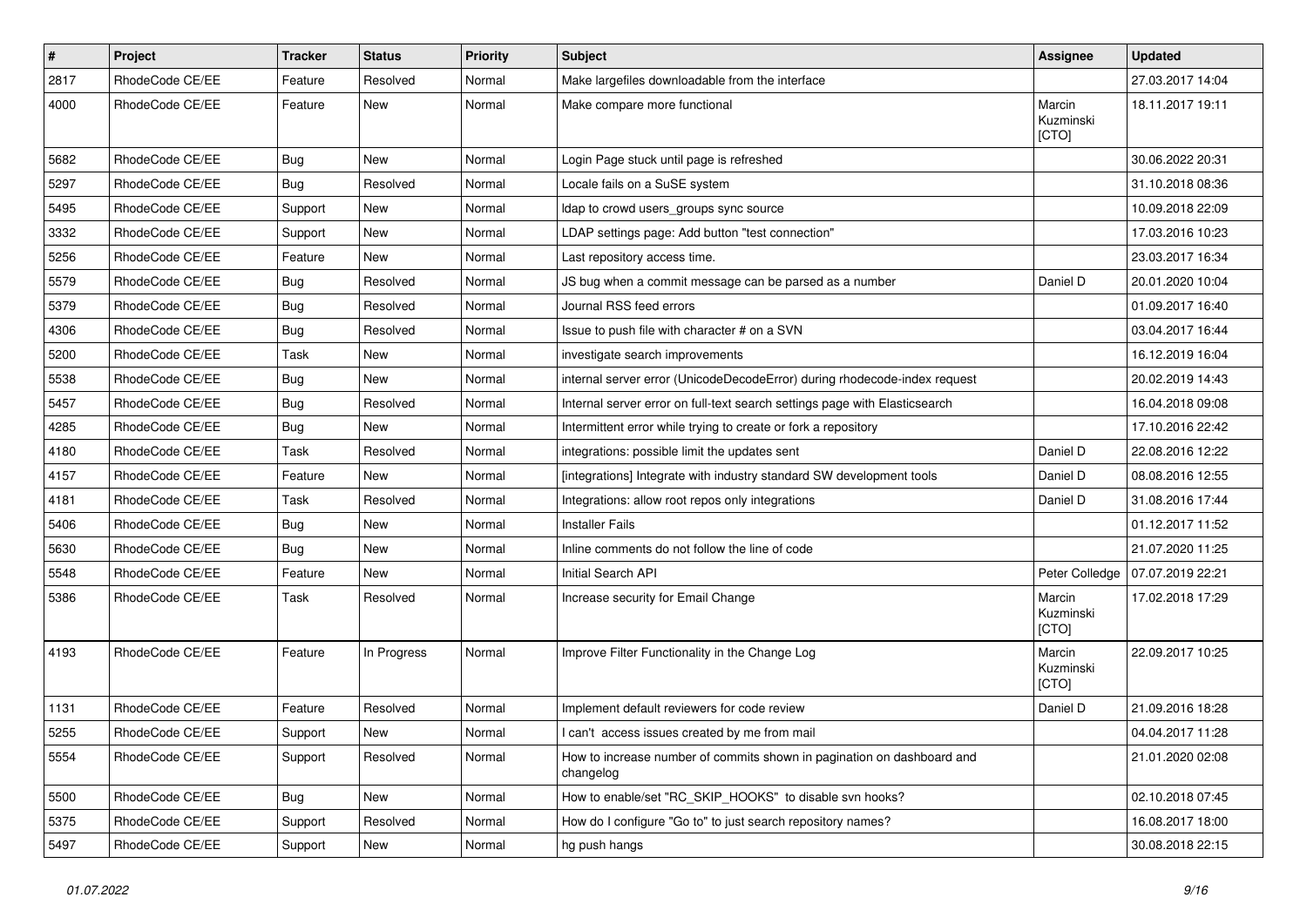| $\pmb{\#}$ | Project         | <b>Tracker</b> | <b>Status</b> | <b>Priority</b> | Subject                                                                             | Assignee                     | <b>Updated</b>   |
|------------|-----------------|----------------|---------------|-----------------|-------------------------------------------------------------------------------------|------------------------------|------------------|
| 2817       | RhodeCode CE/EE | Feature        | Resolved      | Normal          | Make largefiles downloadable from the interface                                     |                              | 27.03.2017 14:04 |
| 4000       | RhodeCode CE/EE | Feature        | <b>New</b>    | Normal          | Make compare more functional                                                        | Marcin<br>Kuzminski<br>[CTO] | 18.11.2017 19:11 |
| 5682       | RhodeCode CE/EE | Bug            | <b>New</b>    | Normal          | Login Page stuck until page is refreshed                                            |                              | 30.06.2022 20:31 |
| 5297       | RhodeCode CE/EE | Bug            | Resolved      | Normal          | Locale fails on a SuSE system                                                       |                              | 31.10.2018 08:36 |
| 5495       | RhodeCode CE/EE | Support        | New           | Normal          | Idap to crowd users_groups sync source                                              |                              | 10.09.2018 22:09 |
| 3332       | RhodeCode CE/EE | Support        | <b>New</b>    | Normal          | LDAP settings page: Add button "test connection"                                    |                              | 17.03.2016 10:23 |
| 5256       | RhodeCode CE/EE | Feature        | <b>New</b>    | Normal          | Last repository access time.                                                        |                              | 23.03.2017 16:34 |
| 5579       | RhodeCode CE/EE | Bug            | Resolved      | Normal          | JS bug when a commit message can be parsed as a number                              | Daniel D                     | 20.01.2020 10:04 |
| 5379       | RhodeCode CE/EE | Bug            | Resolved      | Normal          | Journal RSS feed errors                                                             |                              | 01.09.2017 16:40 |
| 4306       | RhodeCode CE/EE | Bug            | Resolved      | Normal          | Issue to push file with character # on a SVN                                        |                              | 03.04.2017 16:44 |
| 5200       | RhodeCode CE/EE | <b>Task</b>    | <b>New</b>    | Normal          | investigate search improvements                                                     |                              | 16.12.2019 16:04 |
| 5538       | RhodeCode CE/EE | Bug            | New           | Normal          | internal server error (UnicodeDecodeError) during rhodecode-index request           |                              | 20.02.2019 14:43 |
| 5457       | RhodeCode CE/EE | Bug            | Resolved      | Normal          | Internal server error on full-text search settings page with Elasticsearch          |                              | 16.04.2018 09:08 |
| 4285       | RhodeCode CE/EE | Bug            | New           | Normal          | Intermittent error while trying to create or fork a repository                      |                              | 17.10.2016 22:42 |
| 4180       | RhodeCode CE/EE | Task           | Resolved      | Normal          | integrations: possible limit the updates sent                                       | Daniel D                     | 22.08.2016 12:22 |
| 4157       | RhodeCode CE/EE | Feature        | New           | Normal          | [integrations] Integrate with industry standard SW development tools                | Daniel D                     | 08.08.2016 12:55 |
| 4181       | RhodeCode CE/EE | Task           | Resolved      | Normal          | Integrations: allow root repos only integrations                                    | Daniel D                     | 31.08.2016 17:44 |
| 5406       | RhodeCode CE/EE | Bug            | New           | Normal          | <b>Installer Fails</b>                                                              |                              | 01.12.2017 11:52 |
| 5630       | RhodeCode CE/EE | Bug            | <b>New</b>    | Normal          | Inline comments do not follow the line of code                                      |                              | 21.07.2020 11:25 |
| 5548       | RhodeCode CE/EE | Feature        | <b>New</b>    | Normal          | Initial Search API                                                                  | Peter Colledge               | 07.07.2019 22:21 |
| 5386       | RhodeCode CE/EE | Task           | Resolved      | Normal          | Increase security for Email Change                                                  | Marcin<br>Kuzminski<br>[CTO] | 17.02.2018 17:29 |
| 4193       | RhodeCode CE/EE | Feature        | In Progress   | Normal          | Improve Filter Functionality in the Change Log                                      | Marcin<br>Kuzminski<br>[CTO] | 22.09.2017 10:25 |
| 1131       | RhodeCode CE/EE | Feature        | Resolved      | Normal          | Implement default reviewers for code review                                         | Daniel D                     | 21.09.2016 18:28 |
| 5255       | RhodeCode CE/EE | Support        | New           | Normal          | I can't access issues created by me from mail                                       |                              | 04.04.2017 11:28 |
| 5554       | RhodeCode CE/EE | Support        | Resolved      | Normal          | How to increase number of commits shown in pagination on dashboard and<br>changelog |                              | 21.01.2020 02:08 |
| 5500       | RhodeCode CE/EE | Bug            | New           | Normal          | How to enable/set "RC_SKIP_HOOKS" to disable svn hooks?                             |                              | 02.10.2018 07:45 |
| 5375       | RhodeCode CE/EE | Support        | Resolved      | Normal          | How do I configure "Go to" to just search repository names?                         |                              | 16.08.2017 18:00 |
| 5497       | RhodeCode CE/EE | Support        | New           | Normal          | hg push hangs                                                                       |                              | 30.08.2018 22:15 |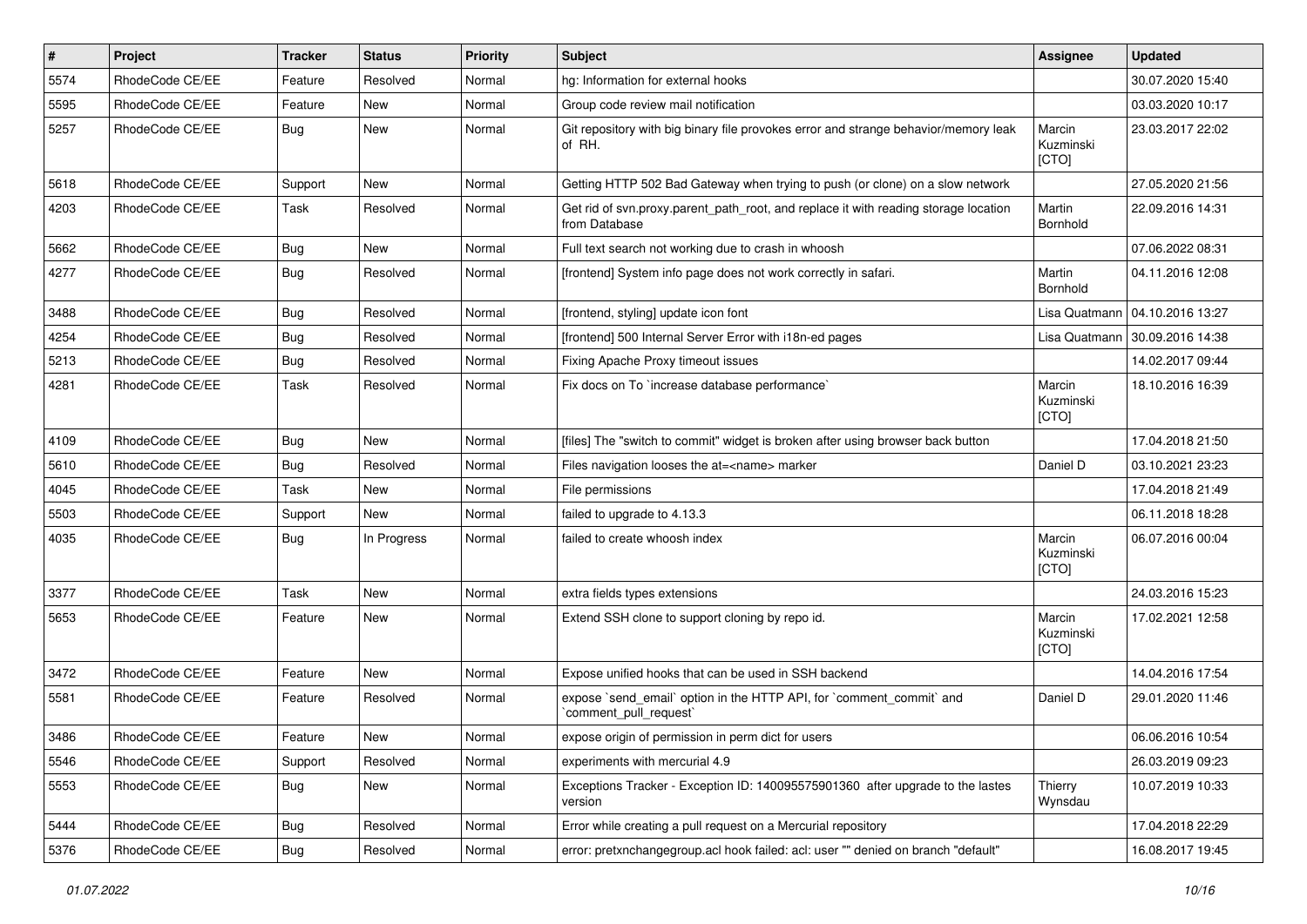| $\pmb{\#}$ | Project         | <b>Tracker</b> | <b>Status</b> | <b>Priority</b> | <b>Subject</b>                                                                                       | Assignee                     | <b>Updated</b>   |
|------------|-----------------|----------------|---------------|-----------------|------------------------------------------------------------------------------------------------------|------------------------------|------------------|
| 5574       | RhodeCode CE/EE | Feature        | Resolved      | Normal          | hg: Information for external hooks                                                                   |                              | 30.07.2020 15:40 |
| 5595       | RhodeCode CE/EE | Feature        | <b>New</b>    | Normal          | Group code review mail notification                                                                  |                              | 03.03.2020 10:17 |
| 5257       | RhodeCode CE/EE | Bug            | New           | Normal          | Git repository with big binary file provokes error and strange behavior/memory leak<br>of RH.        | Marcin<br>Kuzminski<br>[CTO] | 23.03.2017 22:02 |
| 5618       | RhodeCode CE/EE | Support        | <b>New</b>    | Normal          | Getting HTTP 502 Bad Gateway when trying to push (or clone) on a slow network                        |                              | 27.05.2020 21:56 |
| 4203       | RhodeCode CE/EE | Task           | Resolved      | Normal          | Get rid of svn.proxy.parent path root, and replace it with reading storage location<br>from Database | Martin<br>Bornhold           | 22.09.2016 14:31 |
| 5662       | RhodeCode CE/EE | Bug            | New           | Normal          | Full text search not working due to crash in whoosh                                                  |                              | 07.06.2022 08:31 |
| 4277       | RhodeCode CE/EE | Bug            | Resolved      | Normal          | [frontend] System info page does not work correctly in safari.                                       | Martin<br><b>Bornhold</b>    | 04.11.2016 12:08 |
| 3488       | RhodeCode CE/EE | Bug            | Resolved      | Normal          | [frontend, styling] update icon font                                                                 | Lisa Quatmann                | 04.10.2016 13:27 |
| 4254       | RhodeCode CE/EE | Bug            | Resolved      | Normal          | [frontend] 500 Internal Server Error with i18n-ed pages                                              | Lisa Quatmann                | 30.09.2016 14:38 |
| 5213       | RhodeCode CE/EE | Bug            | Resolved      | Normal          | Fixing Apache Proxy timeout issues                                                                   |                              | 14.02.2017 09:44 |
| 4281       | RhodeCode CE/EE | Task           | Resolved      | Normal          | Fix docs on To `increase database performance`                                                       | Marcin<br>Kuzminski<br>[CTO] | 18.10.2016 16:39 |
| 4109       | RhodeCode CE/EE | Bug            | <b>New</b>    | Normal          | [files] The "switch to commit" widget is broken after using browser back button                      |                              | 17.04.2018 21:50 |
| 5610       | RhodeCode CE/EE | Bug            | Resolved      | Normal          | Files navigation looses the at= <name> marker</name>                                                 | Daniel D                     | 03.10.2021 23:23 |
| 4045       | RhodeCode CE/EE | Task           | New           | Normal          | File permissions                                                                                     |                              | 17.04.2018 21:49 |
| 5503       | RhodeCode CE/EE | Support        | <b>New</b>    | Normal          | failed to upgrade to 4.13.3                                                                          |                              | 06.11.2018 18:28 |
| 4035       | RhodeCode CE/EE | Bug            | In Progress   | Normal          | failed to create whoosh index                                                                        | Marcin<br>Kuzminski<br>[CTO] | 06.07.2016 00:04 |
| 3377       | RhodeCode CE/EE | Task           | <b>New</b>    | Normal          | extra fields types extensions                                                                        |                              | 24.03.2016 15:23 |
| 5653       | RhodeCode CE/EE | Feature        | New           | Normal          | Extend SSH clone to support cloning by repo id.                                                      | Marcin<br>Kuzminski<br>[CTO] | 17.02.2021 12:58 |
| 3472       | RhodeCode CE/EE | Feature        | <b>New</b>    | Normal          | Expose unified hooks that can be used in SSH backend                                                 |                              | 14.04.2016 17:54 |
| 5581       | RhodeCode CE/EE | Feature        | Resolved      | Normal          | expose `send email` option in the HTTP API, for `comment commit` and<br>comment pull request         | Daniel D                     | 29.01.2020 11:46 |
| 3486       | RhodeCode CE/EE | Feature        | New           | Normal          | expose origin of permission in perm dict for users                                                   |                              | 06.06.2016 10:54 |
| 5546       | RhodeCode CE/EE | Support        | Resolved      | Normal          | experiments with mercurial 4.9                                                                       |                              | 26.03.2019 09:23 |
| 5553       | RhodeCode CE/EE | Bug            | New           | Normal          | Exceptions Tracker - Exception ID: 140095575901360 after upgrade to the lastes<br>version            | Thierry<br>Wynsdau           | 10.07.2019 10:33 |
| 5444       | RhodeCode CE/EE | Bug            | Resolved      | Normal          | Error while creating a pull request on a Mercurial repository                                        |                              | 17.04.2018 22:29 |
| 5376       | RhodeCode CE/EE | Bug            | Resolved      | Normal          | error: pretxnchangegroup.acl hook failed: acl: user "" denied on branch "default"                    |                              | 16.08.2017 19:45 |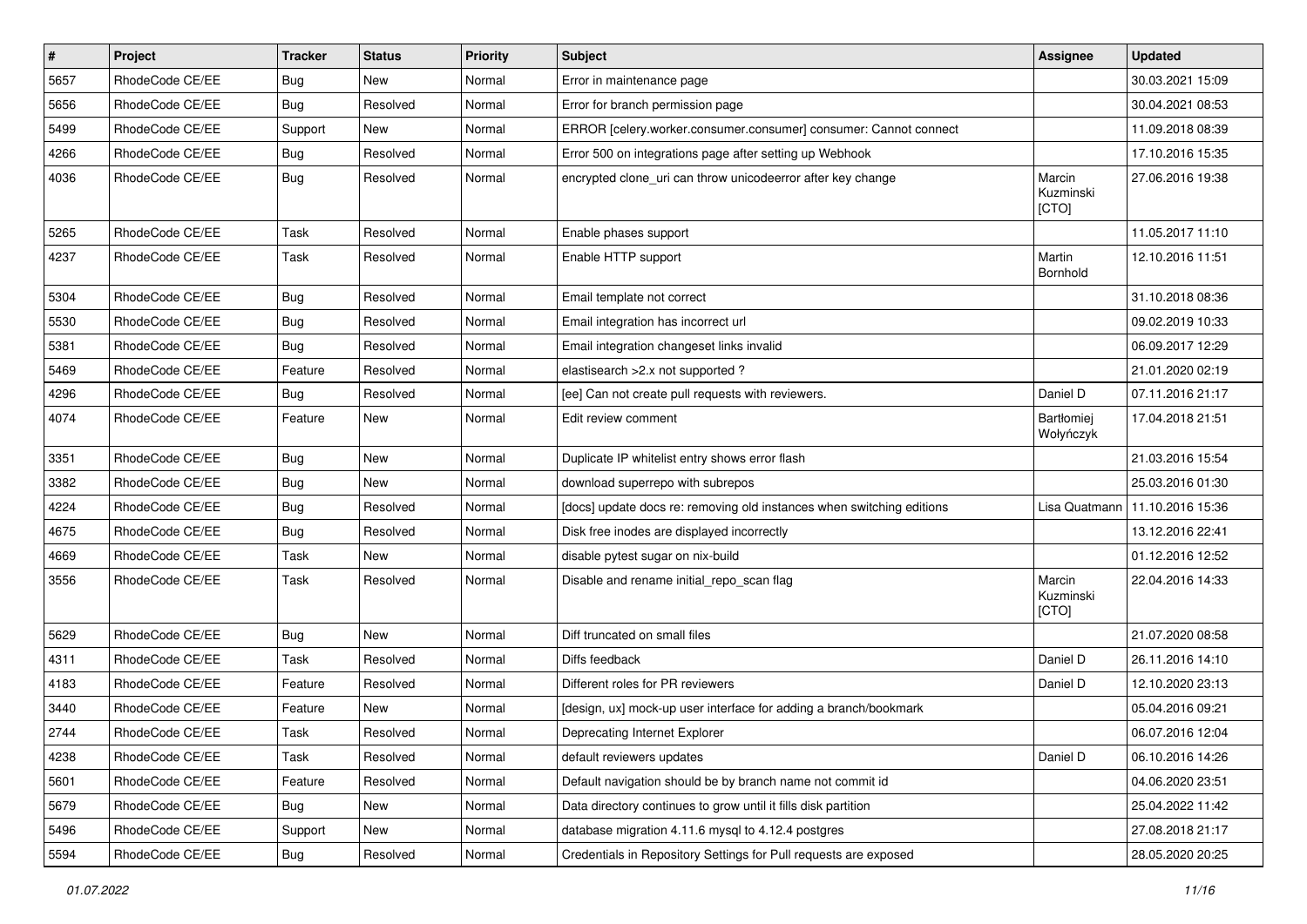| $\sharp$ | Project         | <b>Tracker</b> | <b>Status</b> | <b>Priority</b> | Subject                                                               | <b>Assignee</b>              | <b>Updated</b>   |
|----------|-----------------|----------------|---------------|-----------------|-----------------------------------------------------------------------|------------------------------|------------------|
| 5657     | RhodeCode CE/EE | Bug            | New           | Normal          | Error in maintenance page                                             |                              | 30.03.2021 15:09 |
| 5656     | RhodeCode CE/EE | Bug            | Resolved      | Normal          | Error for branch permission page                                      |                              | 30.04.2021 08:53 |
| 5499     | RhodeCode CE/EE | Support        | New           | Normal          | ERROR [celery.worker.consumer.consumer] consumer: Cannot connect      |                              | 11.09.2018 08:39 |
| 4266     | RhodeCode CE/EE | Bug            | Resolved      | Normal          | Error 500 on integrations page after setting up Webhook               |                              | 17.10.2016 15:35 |
| 4036     | RhodeCode CE/EE | <b>Bug</b>     | Resolved      | Normal          | encrypted clone_uri can throw unicodeerror after key change           | Marcin<br>Kuzminski<br>[CTO] | 27.06.2016 19:38 |
| 5265     | RhodeCode CE/EE | Task           | Resolved      | Normal          | Enable phases support                                                 |                              | 11.05.2017 11:10 |
| 4237     | RhodeCode CE/EE | Task           | Resolved      | Normal          | Enable HTTP support                                                   | Martin<br>Bornhold           | 12.10.2016 11:51 |
| 5304     | RhodeCode CE/EE | Bug            | Resolved      | Normal          | Email template not correct                                            |                              | 31.10.2018 08:36 |
| 5530     | RhodeCode CE/EE | Bug            | Resolved      | Normal          | Email integration has incorrect url                                   |                              | 09.02.2019 10:33 |
| 5381     | RhodeCode CE/EE | Bug            | Resolved      | Normal          | Email integration changeset links invalid                             |                              | 06.09.2017 12:29 |
| 5469     | RhodeCode CE/EE | Feature        | Resolved      | Normal          | elastisearch > 2.x not supported ?                                    |                              | 21.01.2020 02:19 |
| 4296     | RhodeCode CE/EE | Bug            | Resolved      | Normal          | [ee] Can not create pull requests with reviewers.                     | Daniel D                     | 07.11.2016 21:17 |
| 4074     | RhodeCode CE/EE | Feature        | New           | Normal          | Edit review comment                                                   | Bartłomiej<br>Wołyńczyk      | 17.04.2018 21:51 |
| 3351     | RhodeCode CE/EE | Bug            | New           | Normal          | Duplicate IP whitelist entry shows error flash                        |                              | 21.03.2016 15:54 |
| 3382     | RhodeCode CE/EE | <b>Bug</b>     | New           | Normal          | download superrepo with subrepos                                      |                              | 25.03.2016 01:30 |
| 4224     | RhodeCode CE/EE | Bug            | Resolved      | Normal          | [docs] update docs re: removing old instances when switching editions | Lisa Quatmann                | 11.10.2016 15:36 |
| 4675     | RhodeCode CE/EE | Bug            | Resolved      | Normal          | Disk free inodes are displayed incorrectly                            |                              | 13.12.2016 22:41 |
| 4669     | RhodeCode CE/EE | Task           | New           | Normal          | disable pytest sugar on nix-build                                     |                              | 01.12.2016 12:52 |
| 3556     | RhodeCode CE/EE | Task           | Resolved      | Normal          | Disable and rename initial_repo_scan flag                             | Marcin<br>Kuzminski<br>[CTO] | 22.04.2016 14:33 |
| 5629     | RhodeCode CE/EE | Bug            | <b>New</b>    | Normal          | Diff truncated on small files                                         |                              | 21.07.2020 08:58 |
| 4311     | RhodeCode CE/EE | Task           | Resolved      | Normal          | Diffs feedback                                                        | Daniel D                     | 26.11.2016 14:10 |
| 4183     | RhodeCode CE/EE | Feature        | Resolved      | Normal          | Different roles for PR reviewers                                      | Daniel D                     | 12.10.2020 23:13 |
| 3440     | RhodeCode CE/EE | Feature        | <b>New</b>    | Normal          | [design, ux] mock-up user interface for adding a branch/bookmark      |                              | 05.04.2016 09:21 |
| 2744     | RhodeCode CE/EE | Task           | Resolved      | Normal          | Deprecating Internet Explorer                                         |                              | 06.07.2016 12:04 |
| 4238     | RhodeCode CE/EE | Task           | Resolved      | Normal          | default reviewers updates                                             | Daniel D                     | 06.10.2016 14:26 |
| 5601     | RhodeCode CE/EE | Feature        | Resolved      | Normal          | Default navigation should be by branch name not commit id             |                              | 04.06.2020 23:51 |
| 5679     | RhodeCode CE/EE | <b>Bug</b>     | New           | Normal          | Data directory continues to grow until it fills disk partition        |                              | 25.04.2022 11:42 |
| 5496     | RhodeCode CE/EE | Support        | New           | Normal          | database migration 4.11.6 mysql to 4.12.4 postgres                    |                              | 27.08.2018 21:17 |
| 5594     | RhodeCode CE/EE | Bug            | Resolved      | Normal          | Credentials in Repository Settings for Pull requests are exposed      |                              | 28.05.2020 20:25 |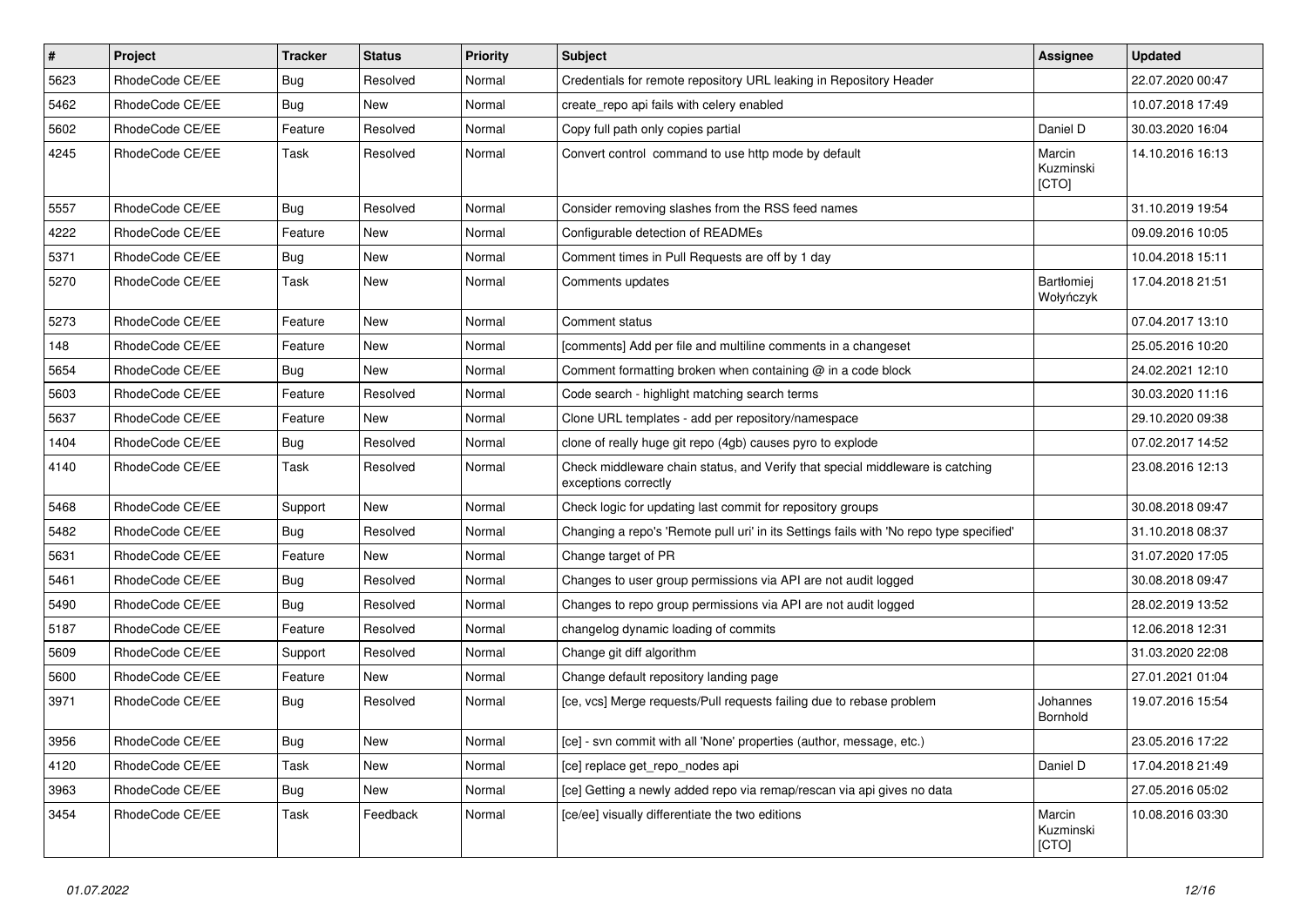| $\vert$ # | Project         | <b>Tracker</b> | <b>Status</b> | <b>Priority</b> | <b>Subject</b>                                                                                        | Assignee                     | <b>Updated</b>   |
|-----------|-----------------|----------------|---------------|-----------------|-------------------------------------------------------------------------------------------------------|------------------------------|------------------|
| 5623      | RhodeCode CE/EE | Bug            | Resolved      | Normal          | Credentials for remote repository URL leaking in Repository Header                                    |                              | 22.07.2020 00:47 |
| 5462      | RhodeCode CE/EE | Bug            | <b>New</b>    | Normal          | create_repo api fails with celery enabled                                                             |                              | 10.07.2018 17:49 |
| 5602      | RhodeCode CE/EE | Feature        | Resolved      | Normal          | Copy full path only copies partial                                                                    | Daniel D                     | 30.03.2020 16:04 |
| 4245      | RhodeCode CE/EE | Task           | Resolved      | Normal          | Convert control command to use http mode by default                                                   | Marcin<br>Kuzminski<br>[CTO] | 14.10.2016 16:13 |
| 5557      | RhodeCode CE/EE | Bug            | Resolved      | Normal          | Consider removing slashes from the RSS feed names                                                     |                              | 31.10.2019 19:54 |
| 4222      | RhodeCode CE/EE | Feature        | New           | Normal          | Configurable detection of READMEs                                                                     |                              | 09.09.2016 10:05 |
| 5371      | RhodeCode CE/EE | Bug            | New           | Normal          | Comment times in Pull Requests are off by 1 day                                                       |                              | 10.04.2018 15:11 |
| 5270      | RhodeCode CE/EE | Task           | <b>New</b>    | Normal          | Comments updates                                                                                      | Bartłomiej<br>Wołyńczyk      | 17.04.2018 21:51 |
| 5273      | RhodeCode CE/EE | Feature        | New           | Normal          | Comment status                                                                                        |                              | 07.04.2017 13:10 |
| 148       | RhodeCode CE/EE | Feature        | New           | Normal          | [comments] Add per file and multiline comments in a changeset                                         |                              | 25.05.2016 10:20 |
| 5654      | RhodeCode CE/EE | Bug            | <b>New</b>    | Normal          | Comment formatting broken when containing @ in a code block                                           |                              | 24.02.2021 12:10 |
| 5603      | RhodeCode CE/EE | Feature        | Resolved      | Normal          | Code search - highlight matching search terms                                                         |                              | 30.03.2020 11:16 |
| 5637      | RhodeCode CE/EE | Feature        | New           | Normal          | Clone URL templates - add per repository/namespace                                                    |                              | 29.10.2020 09:38 |
| 1404      | RhodeCode CE/EE | Bug            | Resolved      | Normal          | clone of really huge git repo (4gb) causes pyro to explode                                            |                              | 07.02.2017 14:52 |
| 4140      | RhodeCode CE/EE | <b>Task</b>    | Resolved      | Normal          | Check middleware chain status, and Verify that special middleware is catching<br>exceptions correctly |                              | 23.08.2016 12:13 |
| 5468      | RhodeCode CE/EE | Support        | New           | Normal          | Check logic for updating last commit for repository groups                                            |                              | 30.08.2018 09:47 |
| 5482      | RhodeCode CE/EE | Bug            | Resolved      | Normal          | Changing a repo's 'Remote pull uri' in its Settings fails with 'No repo type specified'               |                              | 31.10.2018 08:37 |
| 5631      | RhodeCode CE/EE | Feature        | New           | Normal          | Change target of PR                                                                                   |                              | 31.07.2020 17:05 |
| 5461      | RhodeCode CE/EE | Bug            | Resolved      | Normal          | Changes to user group permissions via API are not audit logged                                        |                              | 30.08.2018 09:47 |
| 5490      | RhodeCode CE/EE | Bug            | Resolved      | Normal          | Changes to repo group permissions via API are not audit logged                                        |                              | 28.02.2019 13:52 |
| 5187      | RhodeCode CE/EE | Feature        | Resolved      | Normal          | changelog dynamic loading of commits                                                                  |                              | 12.06.2018 12:31 |
| 5609      | RhodeCode CE/EE | Support        | Resolved      | Normal          | Change git diff algorithm                                                                             |                              | 31.03.2020 22:08 |
| 5600      | RhodeCode CE/EE | Feature        | <b>New</b>    | Normal          | Change default repository landing page                                                                |                              | 27.01.2021 01:04 |
| 3971      | RhodeCode CE/EE | Bug            | Resolved      | Normal          | [ce, vcs] Merge requests/Pull requests failing due to rebase problem                                  | Johannes<br><b>Bornhold</b>  | 19.07.2016 15:54 |
| 3956      | RhodeCode CE/EE | <b>Bug</b>     | New           | Normal          | [ce] - svn commit with all 'None' properties (author, message, etc.)                                  |                              | 23.05.2016 17:22 |
| 4120      | RhodeCode CE/EE | Task           | New           | Normal          | [ce] replace get_repo_nodes api                                                                       | Daniel D                     | 17.04.2018 21:49 |
| 3963      | RhodeCode CE/EE | Bug            | New           | Normal          | [ce] Getting a newly added repo via remap/rescan via api gives no data                                |                              | 27.05.2016 05:02 |
| 3454      | RhodeCode CE/EE | Task           | Feedback      | Normal          | [ce/ee] visually differentiate the two editions                                                       | Marcin<br>Kuzminski<br>[CTO] | 10.08.2016 03:30 |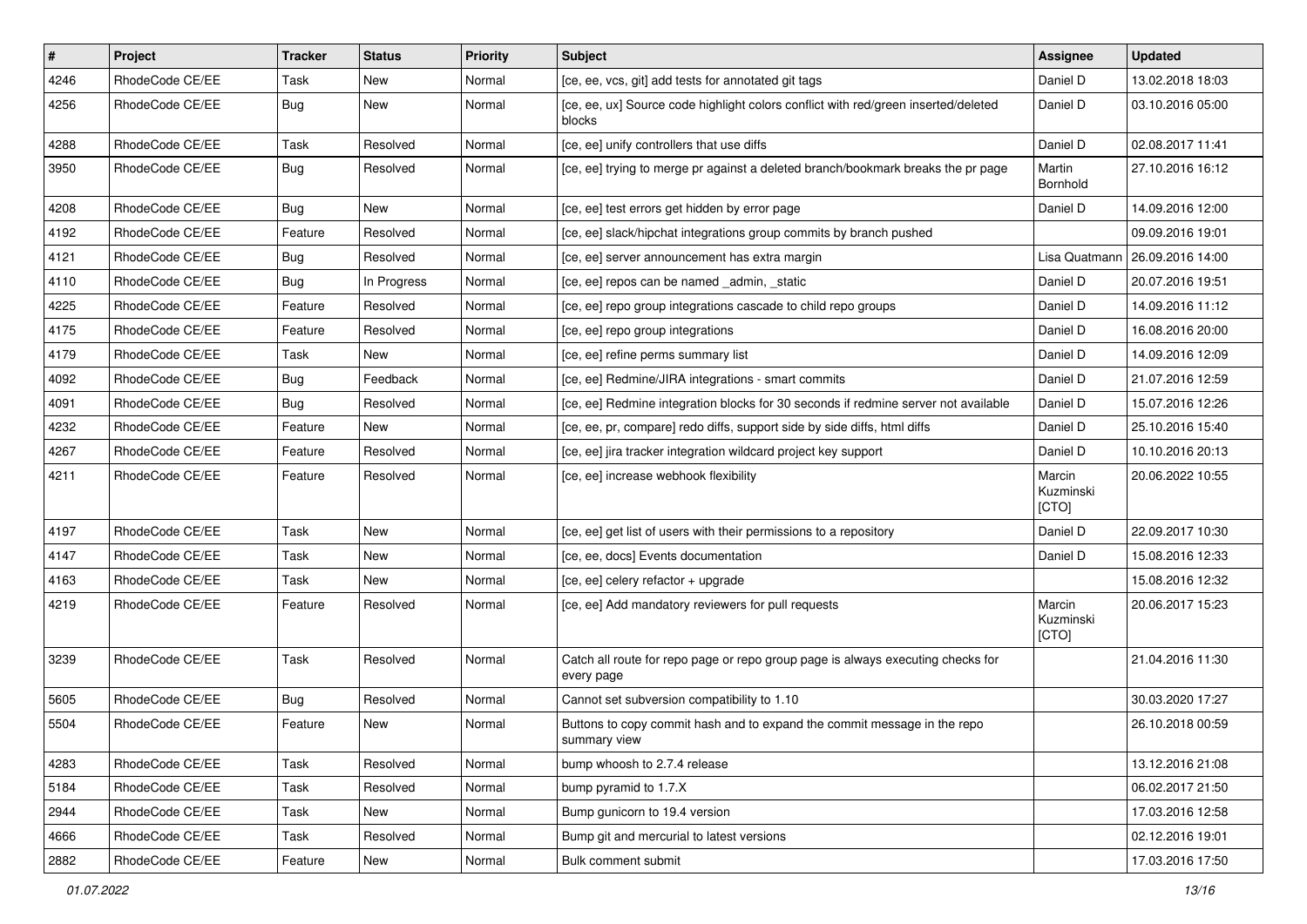| $\vert$ # | Project         | <b>Tracker</b> | <b>Status</b> | <b>Priority</b> | <b>Subject</b>                                                                                | <b>Assignee</b>              | <b>Updated</b>   |
|-----------|-----------------|----------------|---------------|-----------------|-----------------------------------------------------------------------------------------------|------------------------------|------------------|
| 4246      | RhodeCode CE/EE | Task           | New           | Normal          | [ce, ee, vcs, git] add tests for annotated git tags                                           | Daniel D                     | 13.02.2018 18:03 |
| 4256      | RhodeCode CE/EE | Bug            | New           | Normal          | [ce, ee, ux] Source code highlight colors conflict with red/green inserted/deleted<br>blocks  | Daniel D                     | 03.10.2016 05:00 |
| 4288      | RhodeCode CE/EE | Task           | Resolved      | Normal          | [ce, ee] unify controllers that use diffs                                                     | Daniel D                     | 02.08.2017 11:41 |
| 3950      | RhodeCode CE/EE | Bug            | Resolved      | Normal          | [ce, ee] trying to merge pr against a deleted branch/bookmark breaks the pr page              | Martin<br>Bornhold           | 27.10.2016 16:12 |
| 4208      | RhodeCode CE/EE | <b>Bug</b>     | New           | Normal          | [ce, ee] test errors get hidden by error page                                                 | Daniel D                     | 14.09.2016 12:00 |
| 4192      | RhodeCode CE/EE | Feature        | Resolved      | Normal          | [ce, ee] slack/hipchat integrations group commits by branch pushed                            |                              | 09.09.2016 19:01 |
| 4121      | RhodeCode CE/EE | Bug            | Resolved      | Normal          | [ce, ee] server announcement has extra margin                                                 | Lisa Quatmann                | 26.09.2016 14:00 |
| 4110      | RhodeCode CE/EE | Bug            | In Progress   | Normal          | [ce, ee] repos can be named _admin, _static                                                   | Daniel D                     | 20.07.2016 19:51 |
| 4225      | RhodeCode CE/EE | Feature        | Resolved      | Normal          | [ce, ee] repo group integrations cascade to child repo groups                                 | Daniel D                     | 14.09.2016 11:12 |
| 4175      | RhodeCode CE/EE | Feature        | Resolved      | Normal          | [ce, ee] repo group integrations                                                              | Daniel D                     | 16.08.2016 20:00 |
| 4179      | RhodeCode CE/EE | Task           | <b>New</b>    | Normal          | [ce, ee] refine perms summary list                                                            | Daniel D                     | 14.09.2016 12:09 |
| 4092      | RhodeCode CE/EE | Bug            | Feedback      | Normal          | [ce, ee] Redmine/JIRA integrations - smart commits                                            | Daniel D                     | 21.07.2016 12:59 |
| 4091      | RhodeCode CE/EE | Bug            | Resolved      | Normal          | [ce, ee] Redmine integration blocks for 30 seconds if redmine server not available            | Daniel D                     | 15.07.2016 12:26 |
| 4232      | RhodeCode CE/EE | Feature        | New           | Normal          | [ce, ee, pr, compare] redo diffs, support side by side diffs, html diffs                      | Daniel D                     | 25.10.2016 15:40 |
| 4267      | RhodeCode CE/EE | Feature        | Resolved      | Normal          | [ce, ee] jira tracker integration wildcard project key support                                | Daniel D                     | 10.10.2016 20:13 |
| 4211      | RhodeCode CE/EE | Feature        | Resolved      | Normal          | [ce, ee] increase webhook flexibility                                                         | Marcin<br>Kuzminski<br>[CTO] | 20.06.2022 10:55 |
| 4197      | RhodeCode CE/EE | Task           | <b>New</b>    | Normal          | [ce, ee] get list of users with their permissions to a repository                             | Daniel D                     | 22.09.2017 10:30 |
| 4147      | RhodeCode CE/EE | Task           | New           | Normal          | [ce, ee, docs] Events documentation                                                           | Daniel D                     | 15.08.2016 12:33 |
| 4163      | RhodeCode CE/EE | Task           | New           | Normal          | [ce, ee] celery refactor + upgrade                                                            |                              | 15.08.2016 12:32 |
| 4219      | RhodeCode CE/EE | Feature        | Resolved      | Normal          | [ce, ee] Add mandatory reviewers for pull requests                                            | Marcin<br>Kuzminski<br>[CTO] | 20.06.2017 15:23 |
| 3239      | RhodeCode CE/EE | Task           | Resolved      | Normal          | Catch all route for repo page or repo group page is always executing checks for<br>every page |                              | 21.04.2016 11:30 |
| 5605      | RhodeCode CE/EE | Bug            | Resolved      | Normal          | Cannot set subversion compatibility to 1.10                                                   |                              | 30.03.2020 17:27 |
| 5504      | RhodeCode CE/EE | Feature        | New           | Normal          | Buttons to copy commit hash and to expand the commit message in the repo<br>summary view      |                              | 26.10.2018 00:59 |
| 4283      | RhodeCode CE/EE | Task           | Resolved      | Normal          | bump whoosh to 2.7.4 release                                                                  |                              | 13.12.2016 21:08 |
| 5184      | RhodeCode CE/EE | Task           | Resolved      | Normal          | bump pyramid to 1.7.X                                                                         |                              | 06.02.2017 21:50 |
| 2944      | RhodeCode CE/EE | Task           | New           | Normal          | Bump gunicorn to 19.4 version                                                                 |                              | 17.03.2016 12:58 |
| 4666      | RhodeCode CE/EE | Task           | Resolved      | Normal          | Bump git and mercurial to latest versions                                                     |                              | 02.12.2016 19:01 |
| 2882      | RhodeCode CE/EE | Feature        | New           | Normal          | Bulk comment submit                                                                           |                              | 17.03.2016 17:50 |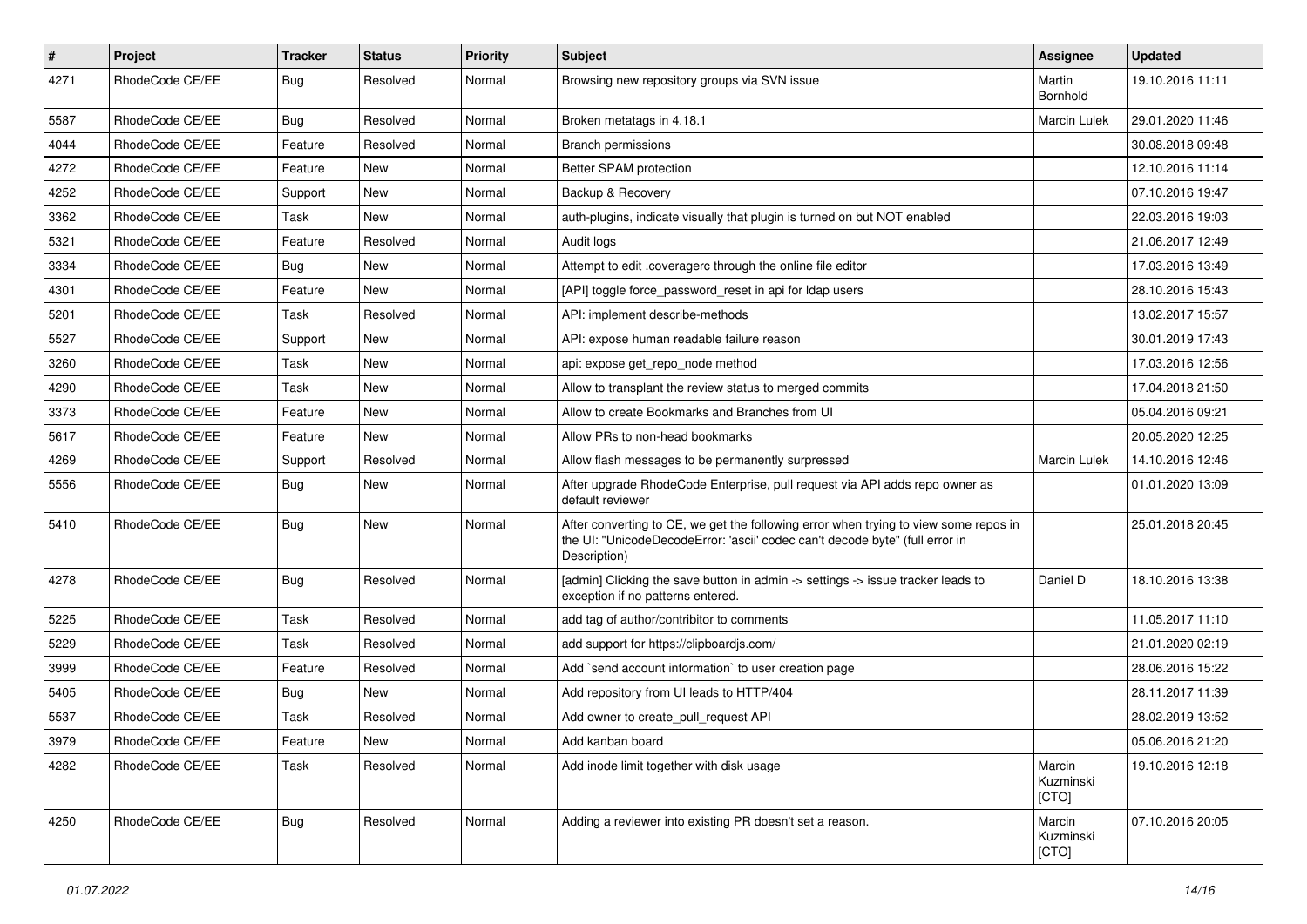| #    | Project         | <b>Tracker</b> | <b>Status</b> | <b>Priority</b> | <b>Subject</b>                                                                                                                                                                       | <b>Assignee</b>              | <b>Updated</b>   |
|------|-----------------|----------------|---------------|-----------------|--------------------------------------------------------------------------------------------------------------------------------------------------------------------------------------|------------------------------|------------------|
| 4271 | RhodeCode CE/EE | Bug            | Resolved      | Normal          | Browsing new repository groups via SVN issue                                                                                                                                         | Martin<br>Bornhold           | 19.10.2016 11:11 |
| 5587 | RhodeCode CE/EE | <b>Bug</b>     | Resolved      | Normal          | Broken metatags in 4.18.1                                                                                                                                                            | Marcin Lulek                 | 29.01.2020 11:46 |
| 4044 | RhodeCode CE/EE | Feature        | Resolved      | Normal          | <b>Branch permissions</b>                                                                                                                                                            |                              | 30.08.2018 09:48 |
| 4272 | RhodeCode CE/EE | Feature        | <b>New</b>    | Normal          | Better SPAM protection                                                                                                                                                               |                              | 12.10.2016 11:14 |
| 4252 | RhodeCode CE/EE | Support        | New           | Normal          | Backup & Recovery                                                                                                                                                                    |                              | 07.10.2016 19:47 |
| 3362 | RhodeCode CE/EE | Task           | <b>New</b>    | Normal          | auth-plugins, indicate visually that plugin is turned on but NOT enabled                                                                                                             |                              | 22.03.2016 19:03 |
| 5321 | RhodeCode CE/EE | Feature        | Resolved      | Normal          | Audit logs                                                                                                                                                                           |                              | 21.06.2017 12:49 |
| 3334 | RhodeCode CE/EE | Bug            | <b>New</b>    | Normal          | Attempt to edit .coveragerc through the online file editor                                                                                                                           |                              | 17.03.2016 13:49 |
| 4301 | RhodeCode CE/EE | Feature        | <b>New</b>    | Normal          | [API] toggle force password reset in api for Idap users                                                                                                                              |                              | 28.10.2016 15:43 |
| 5201 | RhodeCode CE/EE | Task           | Resolved      | Normal          | API: implement describe-methods                                                                                                                                                      |                              | 13.02.2017 15:57 |
| 5527 | RhodeCode CE/EE | Support        | New           | Normal          | API: expose human readable failure reason                                                                                                                                            |                              | 30.01.2019 17:43 |
| 3260 | RhodeCode CE/EE | Task           | New           | Normal          | api: expose get repo node method                                                                                                                                                     |                              | 17.03.2016 12:56 |
| 4290 | RhodeCode CE/EE | Task           | <b>New</b>    | Normal          | Allow to transplant the review status to merged commits                                                                                                                              |                              | 17.04.2018 21:50 |
| 3373 | RhodeCode CE/EE | Feature        | <b>New</b>    | Normal          | Allow to create Bookmarks and Branches from UI                                                                                                                                       |                              | 05.04.2016 09:21 |
| 5617 | RhodeCode CE/EE | Feature        | New           | Normal          | Allow PRs to non-head bookmarks                                                                                                                                                      |                              | 20.05.2020 12:25 |
| 4269 | RhodeCode CE/EE | Support        | Resolved      | Normal          | Allow flash messages to be permanently surpressed                                                                                                                                    | Marcin Lulek                 | 14.10.2016 12:46 |
| 5556 | RhodeCode CE/EE | Bug            | <b>New</b>    | Normal          | After upgrade RhodeCode Enterprise, pull request via API adds repo owner as<br>default reviewer                                                                                      |                              | 01.01.2020 13:09 |
| 5410 | RhodeCode CE/EE | Bug            | New           | Normal          | After converting to CE, we get the following error when trying to view some repos in<br>the UI: "UnicodeDecodeError: 'ascii' codec can't decode byte" (full error in<br>Description) |                              | 25.01.2018 20:45 |
| 4278 | RhodeCode CE/EE | <b>Bug</b>     | Resolved      | Normal          | [admin] Clicking the save button in admin -> settings -> issue tracker leads to<br>exception if no patterns entered.                                                                 | Daniel D                     | 18.10.2016 13:38 |
| 5225 | RhodeCode CE/EE | Task           | Resolved      | Normal          | add tag of author/contribitor to comments                                                                                                                                            |                              | 11.05.2017 11:10 |
| 5229 | RhodeCode CE/EE | Task           | Resolved      | Normal          | add support for https://clipboardjs.com/                                                                                                                                             |                              | 21.01.2020 02:19 |
| 3999 | RhodeCode CE/EE | Feature        | Resolved      | Normal          | Add `send account information` to user creation page                                                                                                                                 |                              | 28.06.2016 15:22 |
| 5405 | RhodeCode CE/EE | Bug            | <b>New</b>    | Normal          | Add repository from UI leads to HTTP/404                                                                                                                                             |                              | 28.11.2017 11:39 |
| 5537 | RhodeCode CE/EE | Task           | Resolved      | Normal          | Add owner to create pull request API                                                                                                                                                 |                              | 28.02.2019 13:52 |
| 3979 | RhodeCode CE/EE | Feature        | New           | Normal          | Add kanban board                                                                                                                                                                     |                              | 05.06.2016 21:20 |
| 4282 | RhodeCode CE/EE | Task           | Resolved      | Normal          | Add inode limit together with disk usage                                                                                                                                             | Marcin<br>Kuzminski<br>[CTO] | 19.10.2016 12:18 |
| 4250 | RhodeCode CE/EE | Bug            | Resolved      | Normal          | Adding a reviewer into existing PR doesn't set a reason.                                                                                                                             | Marcin<br>Kuzminski<br>[CTO] | 07.10.2016 20:05 |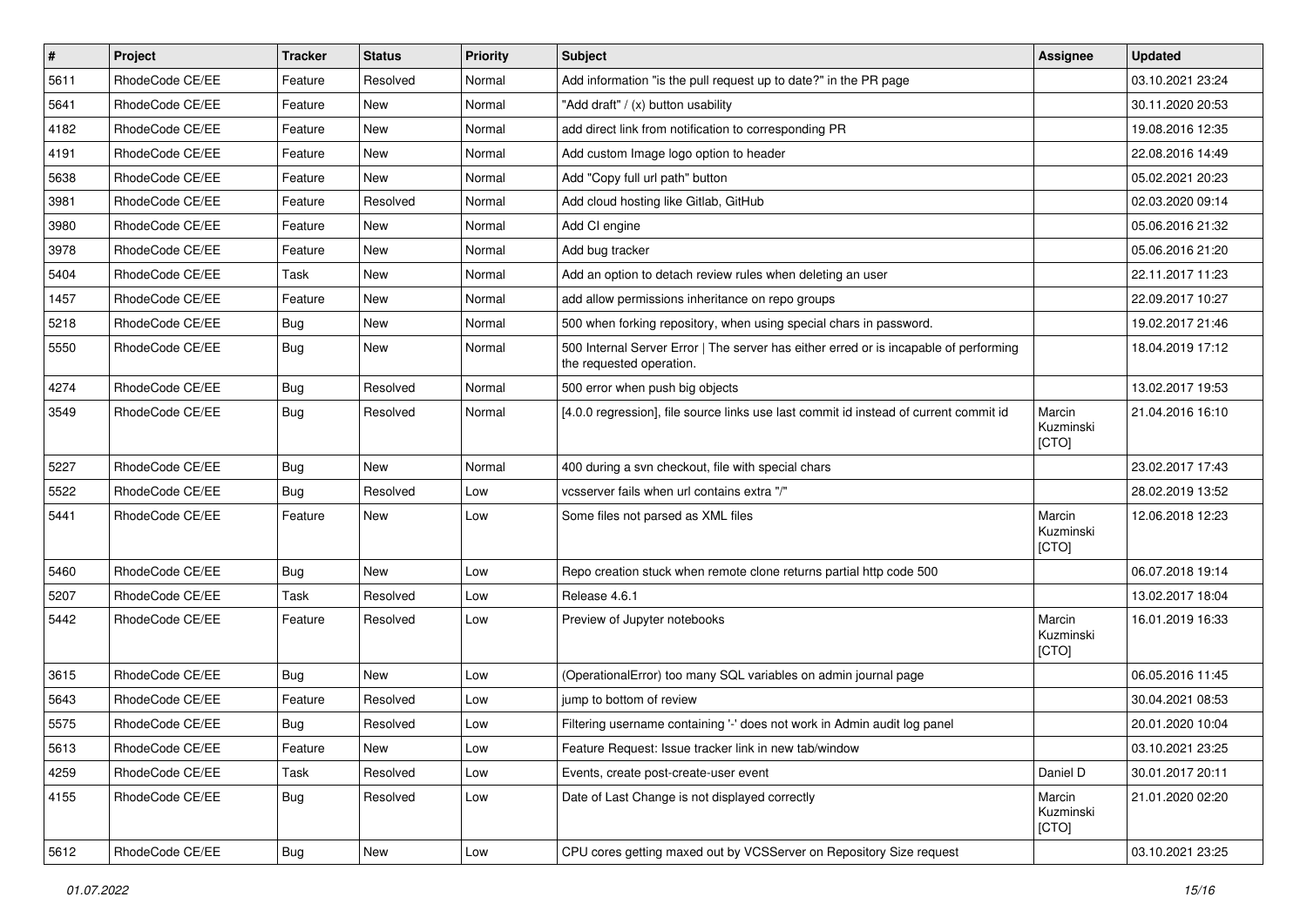| $\sharp$ | Project         | <b>Tracker</b> | <b>Status</b> | <b>Priority</b> | <b>Subject</b>                                                                                                    | <b>Assignee</b>              | <b>Updated</b>   |
|----------|-----------------|----------------|---------------|-----------------|-------------------------------------------------------------------------------------------------------------------|------------------------------|------------------|
| 5611     | RhodeCode CE/EE | Feature        | Resolved      | Normal          | Add information "is the pull request up to date?" in the PR page                                                  |                              | 03.10.2021 23:24 |
| 5641     | RhodeCode CE/EE | Feature        | <b>New</b>    | Normal          | "Add draft" / (x) button usability                                                                                |                              | 30.11.2020 20:53 |
| 4182     | RhodeCode CE/EE | Feature        | New           | Normal          | add direct link from notification to corresponding PR                                                             |                              | 19.08.2016 12:35 |
| 4191     | RhodeCode CE/EE | Feature        | <b>New</b>    | Normal          | Add custom Image logo option to header                                                                            |                              | 22.08.2016 14:49 |
| 5638     | RhodeCode CE/EE | Feature        | New           | Normal          | Add "Copy full url path" button                                                                                   |                              | 05.02.2021 20:23 |
| 3981     | RhodeCode CE/EE | Feature        | Resolved      | Normal          | Add cloud hosting like Gitlab, GitHub                                                                             |                              | 02.03.2020 09:14 |
| 3980     | RhodeCode CE/EE | Feature        | New           | Normal          | Add CI engine                                                                                                     |                              | 05.06.2016 21:32 |
| 3978     | RhodeCode CE/EE | Feature        | <b>New</b>    | Normal          | Add bug tracker                                                                                                   |                              | 05.06.2016 21:20 |
| 5404     | RhodeCode CE/EE | Task           | <b>New</b>    | Normal          | Add an option to detach review rules when deleting an user                                                        |                              | 22.11.2017 11:23 |
| 1457     | RhodeCode CE/EE | Feature        | <b>New</b>    | Normal          | add allow permissions inheritance on repo groups                                                                  |                              | 22.09.2017 10:27 |
| 5218     | RhodeCode CE/EE | Bug            | New           | Normal          | 500 when forking repository, when using special chars in password.                                                |                              | 19.02.2017 21:46 |
| 5550     | RhodeCode CE/EE | Bug            | New           | Normal          | 500 Internal Server Error   The server has either erred or is incapable of performing<br>the requested operation. |                              | 18.04.2019 17:12 |
| 4274     | RhodeCode CE/EE | Bug            | Resolved      | Normal          | 500 error when push big objects                                                                                   |                              | 13.02.2017 19:53 |
| 3549     | RhodeCode CE/EE | Bug            | Resolved      | Normal          | [4.0.0 regression], file source links use last commit id instead of current commit id                             | Marcin<br>Kuzminski<br>[CTO] | 21.04.2016 16:10 |
| 5227     | RhodeCode CE/EE | Bug            | <b>New</b>    | Normal          | 400 during a svn checkout, file with special chars                                                                |                              | 23.02.2017 17:43 |
| 5522     | RhodeCode CE/EE | Bug            | Resolved      | Low             | vcsserver fails when url contains extra "/"                                                                       |                              | 28.02.2019 13:52 |
| 5441     | RhodeCode CE/EE | Feature        | <b>New</b>    | Low             | Some files not parsed as XML files                                                                                | Marcin<br>Kuzminski<br>[CTO] | 12.06.2018 12:23 |
| 5460     | RhodeCode CE/EE | Bug            | New           | Low             | Repo creation stuck when remote clone returns partial http code 500                                               |                              | 06.07.2018 19:14 |
| 5207     | RhodeCode CE/EE | Task           | Resolved      | Low             | Release 4.6.1                                                                                                     |                              | 13.02.2017 18:04 |
| 5442     | RhodeCode CE/EE | Feature        | Resolved      | Low             | Preview of Jupyter notebooks                                                                                      | Marcin<br>Kuzminski<br>[CTO] | 16.01.2019 16:33 |
| 3615     | RhodeCode CE/EE | Bug            | <b>New</b>    | Low             | (OperationalError) too many SQL variables on admin journal page                                                   |                              | 06.05.2016 11:45 |
| 5643     | RhodeCode CE/EE | Feature        | Resolved      | Low             | jump to bottom of review                                                                                          |                              | 30.04.2021 08:53 |
| 5575     | RhodeCode CE/EE | Bug            | Resolved      | Low             | Filtering username containing '-' does not work in Admin audit log panel                                          |                              | 20.01.2020 10:04 |
| 5613     | RhodeCode CE/EE | Feature        | New           | Low             | Feature Request: Issue tracker link in new tab/window                                                             |                              | 03.10.2021 23:25 |
| 4259     | RhodeCode CE/EE | Task           | Resolved      | Low             | Events, create post-create-user event                                                                             | Daniel D                     | 30.01.2017 20:11 |
| 4155     | RhodeCode CE/EE | Bug            | Resolved      | Low             | Date of Last Change is not displayed correctly                                                                    | Marcin<br>Kuzminski<br>[CTO] | 21.01.2020 02:20 |
| 5612     | RhodeCode CE/EE | <b>Bug</b>     | New           | Low             | CPU cores getting maxed out by VCSServer on Repository Size request                                               |                              | 03.10.2021 23:25 |